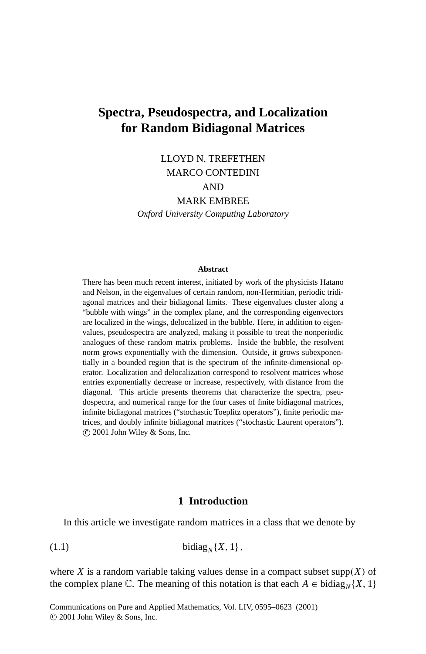# **Spectra, Pseudospectra, and Localization for Random Bidiagonal Matrices**

# LLOYD N. TREFETHEN MARCO CONTEDINI

# AND

#### MARK EMBREE

*Oxford University Computing Laboratory*

#### **Abstract**

There has been much recent interest, initiated by work of the physicists Hatano and Nelson, in the eigenvalues of certain random, non-Hermitian, periodic tridiagonal matrices and their bidiagonal limits. These eigenvalues cluster along a "bubble with wings" in the complex plane, and the corresponding eigenvectors are localized in the wings, delocalized in the bubble. Here, in addition to eigenvalues, pseudospectra are analyzed, making it possible to treat the nonperiodic analogues of these random matrix problems. Inside the bubble, the resolvent norm grows exponentially with the dimension. Outside, it grows subexponentially in a bounded region that is the spectrum of the infinite-dimensional operator. Localization and delocalization correspond to resolvent matrices whose entries exponentially decrease or increase, respectively, with distance from the diagonal. This article presents theorems that characterize the spectra, pseudospectra, and numerical range for the four cases of finite bidiagonal matrices, infinite bidiagonal matrices ("stochastic Toeplitz operators"), finite periodic matrices, and doubly infinite bidiagonal matrices ("stochastic Laurent operators"). c 2001 John Wiley & Sons, Inc.

# **1 Introduction**

In this article we investigate random matrices in a class that we denote by

(1.1) bidiag*<sup>N</sup>* {*X*, 1},

where *X* is a random variable taking values dense in a compact subset supp $(X)$  of the complex plane  $\mathbb{C}$ . The meaning of this notation is that each  $A \in \text{bidiag}_{N} \{X, 1\}$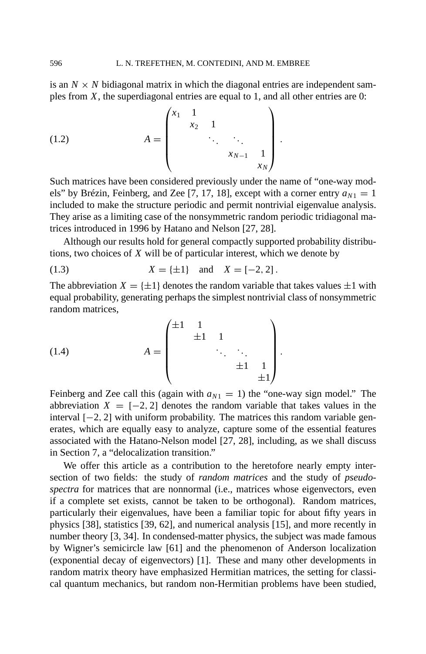is an  $N \times N$  bidiagonal matrix in which the diagonal entries are independent samples from *X*, the superdiagonal entries are equal to 1, and all other entries are 0:

(1.2) 
$$
A = \begin{pmatrix} x_1 & 1 & & & \\ & x_2 & 1 & & \\ & & \ddots & \ddots & \\ & & & x_{N-1} & 1 \\ & & & & x_N \end{pmatrix}.
$$

Such matrices have been considered previously under the name of "one-way models" by Brézin, Feinberg, and Zee [7, 17, 18], except with a corner entry  $a_{N1} = 1$ included to make the structure periodic and permit nontrivial eigenvalue analysis. They arise as a limiting case of the nonsymmetric random periodic tridiagonal matrices introduced in 1996 by Hatano and Nelson [27, 28].

Although our results hold for general compactly supported probability distributions, two choices of *X* will be of particular interest, which we denote by

(1.3) 
$$
X = \{\pm 1\}
$$
 and  $X = [-2, 2]$ .

The abbreviation  $X = \{\pm 1\}$  denotes the random variable that takes values  $\pm 1$  with equal probability, generating perhaps the simplest nontrivial class of nonsymmetric random matrices,

(1.4) 
$$
A = \begin{pmatrix} \pm 1 & 1 & & & \\ & \pm 1 & 1 & & \\ & & \ddots & \ddots & \\ & & & \pm 1 & 1 \\ & & & & \pm 1 \end{pmatrix}.
$$

Feinberg and Zee call this (again with  $a_{N1} = 1$ ) the "one-way sign model." The abbreviation  $X = [-2, 2]$  denotes the random variable that takes values in the interval [−2, 2] with uniform probability. The matrices this random variable generates, which are equally easy to analyze, capture some of the essential features associated with the Hatano-Nelson model [27, 28], including, as we shall discuss in Section 7, a "delocalization transition."

We offer this article as a contribution to the heretofore nearly empty intersection of two fields: the study of *random matrices* and the study of *pseudospectra* for matrices that are nonnormal (i.e., matrices whose eigenvectors, even if a complete set exists, cannot be taken to be orthogonal). Random matrices, particularly their eigenvalues, have been a familiar topic for about fifty years in physics [38], statistics [39, 62], and numerical analysis [15], and more recently in number theory [3, 34]. In condensed-matter physics, the subject was made famous by Wigner's semicircle law [61] and the phenomenon of Anderson localization (exponential decay of eigenvectors) [1]. These and many other developments in random matrix theory have emphasized Hermitian matrices, the setting for classical quantum mechanics, but random non-Hermitian problems have been studied,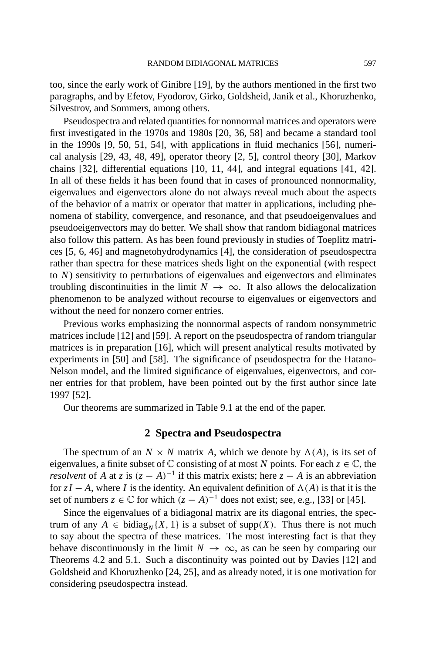too, since the early work of Ginibre [19], by the authors mentioned in the first two paragraphs, and by Efetov, Fyodorov, Girko, Goldsheid, Janik et al., Khoruzhenko, Silvestrov, and Sommers, among others.

Pseudospectra and related quantities for nonnormal matrices and operators were first investigated in the 1970s and 1980s [20, 36, 58] and became a standard tool in the 1990s [9, 50, 51, 54], with applications in fluid mechanics [56], numerical analysis [29, 43, 48, 49], operator theory [2, 5], control theory [30], Markov chains [32], differential equations [10, 11, 44], and integral equations [41, 42]. In all of these fields it has been found that in cases of pronounced nonnormality, eigenvalues and eigenvectors alone do not always reveal much about the aspects of the behavior of a matrix or operator that matter in applications, including phenomena of stability, convergence, and resonance, and that pseudoeigenvalues and pseudoeigenvectors may do better. We shall show that random bidiagonal matrices also follow this pattern. As has been found previously in studies of Toeplitz matrices [5, 6, 46] and magnetohydrodynamics [4], the consideration of pseudospectra rather than spectra for these matrices sheds light on the exponential (with respect to *N*) sensitivity to perturbations of eigenvalues and eigenvectors and eliminates troubling discontinuities in the limit  $N \to \infty$ . It also allows the delocalization phenomenon to be analyzed without recourse to eigenvalues or eigenvectors and without the need for nonzero corner entries.

Previous works emphasizing the nonnormal aspects of random nonsymmetric matrices include [12] and [59]. A report on the pseudospectra of random triangular matrices is in preparation [16], which will present analytical results motivated by experiments in [50] and [58]. The significance of pseudospectra for the Hatano-Nelson model, and the limited significance of eigenvalues, eigenvectors, and corner entries for that problem, have been pointed out by the first author since late 1997 [52].

Our theorems are summarized in Table 9.1 at the end of the paper.

# **2 Spectra and Pseudospectra**

The spectrum of an  $N \times N$  matrix A, which we denote by  $\Lambda(A)$ , is its set of eigenvalues, a finite subset of  $\mathbb C$  consisting of at most *N* points. For each  $z \in \mathbb C$ , the *resolvent* of *A* at *z* is  $(z - A)^{-1}$  if this matrix exists; here  $z - A$  is an abbreviation for  $zI - A$ , where *I* is the identity. An equivalent definition of  $\Lambda(A)$  is that it is the set of numbers  $z \in \mathbb{C}$  for which  $(z - A)^{-1}$  does not exist; see, e.g., [33] or [45].

Since the eigenvalues of a bidiagonal matrix are its diagonal entries, the spectrum of any  $A \in \text{bidiag}_{N} \{X, 1\}$  is a subset of supp $(X)$ . Thus there is not much to say about the spectra of these matrices. The most interesting fact is that they behave discontinuously in the limit  $N \to \infty$ , as can be seen by comparing our Theorems 4.2 and 5.1. Such a discontinuity was pointed out by Davies [12] and Goldsheid and Khoruzhenko [24, 25], and as already noted, it is one motivation for considering pseudospectra instead.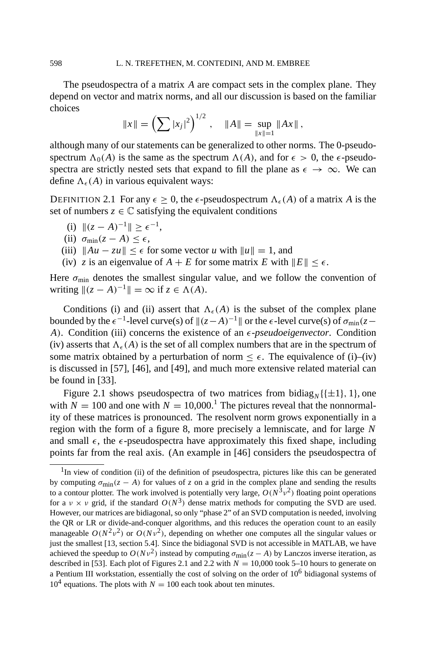The pseudospectra of a matrix *A* are compact sets in the complex plane. They depend on vector and matrix norms, and all our discussion is based on the familiar choices

$$
||x|| = \left(\sum |x_j|^2\right)^{1/2}, \quad ||A|| = \sup_{||x||=1} ||Ax||,
$$

although many of our statements can be generalized to other norms. The 0-pseudospectrum  $\Lambda_0(A)$  is the same as the spectrum  $\Lambda(A)$ , and for  $\epsilon > 0$ , the  $\epsilon$ -pseudospectra are strictly nested sets that expand to fill the plane as  $\epsilon \to \infty$ . We can define  $\Lambda_{\epsilon}(A)$  in various equivalent ways:

DEFINITION 2.1 For any  $\epsilon > 0$ , the  $\epsilon$ -pseudospectrum  $\Lambda_{\epsilon}(A)$  of a matrix A is the set of numbers  $z \in \mathbb{C}$  satisfying the equivalent conditions

- (i)  $||(z A)^{-1}|| > \epsilon^{-1}$ ,
- (ii)  $\sigma_{\min}(z A) \leq \epsilon$ ,
- (iii)  $||Au zu|| \leq \epsilon$  for some vector *u* with  $||u|| = 1$ , and
- (iv) *z* is an eigenvalue of  $A + E$  for some matrix  $E$  with  $||E|| \le \epsilon$ .

Here  $\sigma_{\text{min}}$  denotes the smallest singular value, and we follow the convention of writing  $||(z - A)^{-1}|| = \infty$  if  $z \in \Lambda(A)$ .

Conditions (i) and (ii) assert that  $\Lambda_{\epsilon}(A)$  is the subset of the complex plane bounded by the  $\epsilon^{-1}$ -level curve(s) of  $\|(z-A)^{-1}\|$  or the  $\epsilon$ -level curve(s) of  $\sigma_{min}(z-\epsilon)$ *A*). Condition (iii) concerns the existence of an  $\epsilon$ -*pseudoeigenvector*. Condition (iv) asserts that  $\Lambda_{\epsilon}(A)$  is the set of all complex numbers that are in the spectrum of some matrix obtained by a perturbation of norm  $\leq \epsilon$ . The equivalence of (i)–(iv) is discussed in [57], [46], and [49], and much more extensive related material can be found in [33].

Figure 2.1 shows pseudospectra of two matrices from bidiag<sub>N</sub> $({\pm 1}, 1)$ , one with  $N = 100$  and one with  $N = 10,000$ .<sup>1</sup> The pictures reveal that the nonnormality of these matrices is pronounced. The resolvent norm grows exponentially in a region with the form of a figure 8, more precisely a lemniscate, and for large *N* and small  $\epsilon$ , the  $\epsilon$ -pseudospectra have approximately this fixed shape, including points far from the real axis. (An example in [46] considers the pseudospectra of

 $<sup>1</sup>$ In view of condition (ii) of the definition of pseudospectra, pictures like this can be generated</sup> by computing  $\sigma_{\text{min}}(z - A)$  for values of *z* on a grid in the complex plane and sending the results to a contour plotter. The work involved is potentially very large,  $O(N^3v^2)$  floating point operations for a  $v \times v$  grid, if the standard  $O(N^3)$  dense matrix methods for computing the SVD are used. However, our matrices are bidiagonal, so only "phase 2" of an SVD computation is needed, involving the QR or LR or divide-and-conquer algorithms, and this reduces the operation count to an easily manageable  $O(N^2v^2)$  or  $O(Nv^2)$ , depending on whether one computes all the singular values or just the smallest [13, section 5.4]. Since the bidiagonal SVD is not accessible in MATLAB, we have achieved the speedup to  $O(Nv^2)$  instead by computing  $\sigma_{\min}(z - A)$  by Lanczos inverse iteration, as described in [53]. Each plot of Figures 2.1 and 2.2 with  $N = 10,000$  took 5–10 hours to generate on a Pentium III workstation, essentially the cost of solving on the order of 10<sup>6</sup> bidiagonal systems of  $10^4$  equations. The plots with  $N = 100$  each took about ten minutes.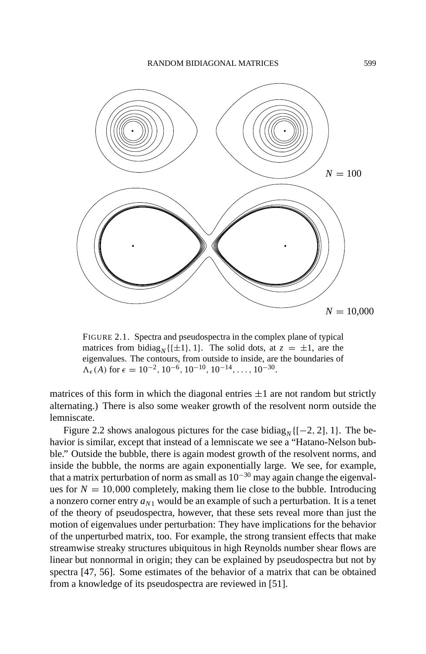

FIGURE 2.1. Spectra and pseudospectra in the complex plane of typical matrices from bidiag<sub>N</sub>{{ $\pm$ 1}, 1}. The solid dots, at  $z = \pm 1$ , are the eigenvalues. The contours, from outside to inside, are the boundaries of  $\Lambda_{\epsilon}(A)$  for  $\epsilon = 10^{-2}$ ,  $10^{-6}$ ,  $10^{-10}$ ,  $10^{-14}$ , ...,  $10^{-30}$ .

matrices of this form in which the diagonal entries  $\pm 1$  are not random but strictly alternating.) There is also some weaker growth of the resolvent norm outside the lemniscate.

Figure 2.2 shows analogous pictures for the case bidiag<sub>N</sub>  $[[-2, 2], 1]$ . The behavior is similar, except that instead of a lemniscate we see a "Hatano-Nelson bubble." Outside the bubble, there is again modest growth of the resolvent norms, and inside the bubble, the norms are again exponentially large. We see, for example, that a matrix perturbation of norm as small as  $10^{-30}$  may again change the eigenvalues for  $N = 10,000$  completely, making them lie close to the bubble. Introducing a nonzero corner entry  $a_{N1}$  would be an example of such a perturbation. It is a tenet of the theory of pseudospectra, however, that these sets reveal more than just the motion of eigenvalues under perturbation: They have implications for the behavior of the unperturbed matrix, too. For example, the strong transient effects that make streamwise streaky structures ubiquitous in high Reynolds number shear flows are linear but nonnormal in origin; they can be explained by pseudospectra but not by spectra [47, 56]. Some estimates of the behavior of a matrix that can be obtained from a knowledge of its pseudospectra are reviewed in [51].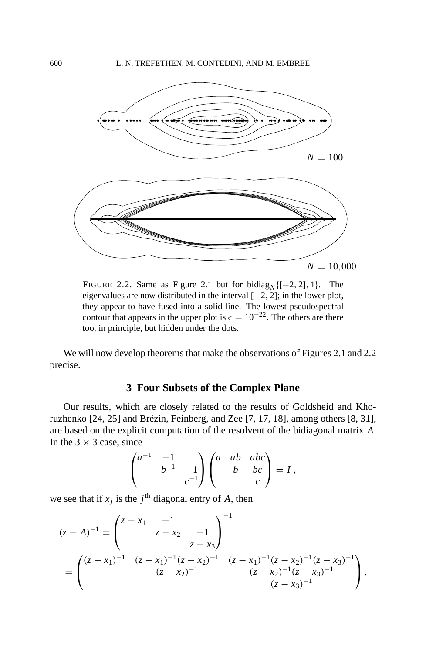

FIGURE 2.2. Same as Figure 2.1 but for bidiag<sub>N</sub>  $[-2, 2]$ , 1}. The eigenvalues are now distributed in the interval  $[-2, 2]$ ; in the lower plot, they appear to have fused into a solid line. The lowest pseudospectral contour that appears in the upper plot is  $\epsilon = 10^{-22}$ . The others are there too, in principle, but hidden under the dots.

We will now develop theorems that make the observations of Figures 2.1 and 2.2 precise.

# **3 Four Subsets of the Complex Plane**

Our results, which are closely related to the results of Goldsheid and Khoruzhenko [24, 25] and Brézin, Feinberg, and Zee [7, 17, 18], among others [8, 31], are based on the explicit computation of the resolvent of the bidiagonal matrix *A*. In the  $3 \times 3$  case, since

$$
\begin{pmatrix} a^{-1} & -1 \\ & b^{-1} & -1 \\ & & c^{-1} \end{pmatrix} \begin{pmatrix} a & ab & abc \\ & b & bc \\ & & c \end{pmatrix} = I,
$$

we see that if  $x_j$  is the  $j^{\text{th}}$  diagonal entry of *A*, then

$$
(z - A)^{-1} = \begin{pmatrix} z - x_1 & -1 & 0 \\ z - x_2 & -1 & 0 \\ z - x_3 & z - x_4 \end{pmatrix}^{-1}
$$
  
= 
$$
\begin{pmatrix} (z - x_1)^{-1} & (z - x_1)^{-1}(z - x_2)^{-1} & (z - x_1)^{-1}(z - x_2)^{-1}(z - x_3)^{-1} \\ (z - x_2)^{-1} & (z - x_2)^{-1}(z - x_3)^{-1} \\ (z - x_3)^{-1} & (z - x_3)^{-1} \end{pmatrix}.
$$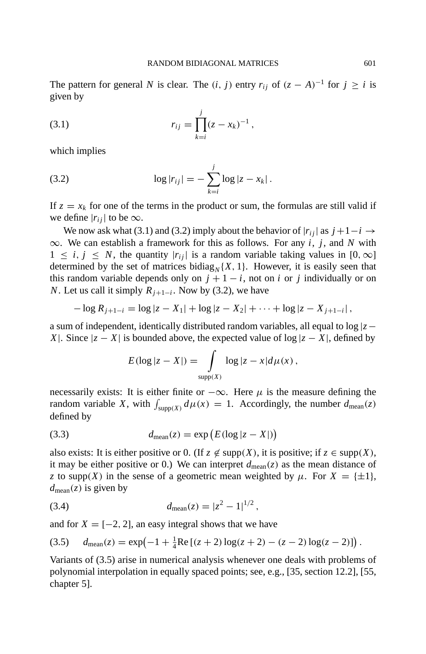The pattern for general *N* is clear. The  $(i, j)$  entry  $r_{ij}$  of  $(z - A)^{-1}$  for  $j \ge i$  is given by

(3.1) 
$$
r_{ij} = \prod_{k=i}^{j} (z - x_k)^{-1},
$$

which implies

(3.2) 
$$
\log |r_{ij}| = - \sum_{k=i}^{j} \log |z - x_k|.
$$

If  $z = x_k$  for one of the terms in the product or sum, the formulas are still valid if we define  $|r_{ij}|$  to be  $\infty$ .

We now ask what (3.1) and (3.2) imply about the behavior of  $|r_{ii}|$  as  $j+1-i \rightarrow$ ∞. We can establish a framework for this as follows. For any *i*, *j*, and *N* with  $1 \le i, j \le N$ , the quantity  $|r_{ii}|$  is a random variable taking values in [0,  $\infty$ ] determined by the set of matrices bidiag<sub>N</sub> ${X, 1}$ . However, it is easily seen that this random variable depends only on  $j + 1 - i$ , not on *i* or *j* individually or on *N*. Let us call it simply  $R_{i+1-i}$ . Now by (3.2), we have

$$
-\log R_{j+1-i} = \log |z - X_1| + \log |z - X_2| + \cdots + \log |z - X_{j+1-i}|,
$$

a sum of independent, identically distributed random variables, all equal to log |*z*− *X*|. Since  $|z - X|$  is bounded above, the expected value of  $log |z - X|$ , defined by

$$
E(\log|z - X|) = \int_{\text{supp}(X)} \log|z - x| d\mu(x),
$$

necessarily exists: It is either finite or  $-\infty$ . Here  $\mu$  is the measure defining the random variable *X*, with  $\int_{\text{supp}(X)} d\mu(x) = 1$ . Accordingly, the number  $d_{\text{mean}}(z)$ defined by

$$
(3.3) \t d_{\text{mean}}(z) = \exp\left(E(\log|z - X|)\right)
$$

also exists: It is either positive or 0. (If  $z \notin \text{supp}(X)$ , it is positive; if  $z \in \text{supp}(X)$ , it may be either positive or 0.) We can interpret  $d_{\text{mean}}(z)$  as the mean distance of *z* to supp(*X*) in the sense of a geometric mean weighted by  $\mu$ . For  $X = \{\pm 1\}$ ,  $d_{\text{mean}}(z)$  is given by

(3.4) 
$$
d_{\text{mean}}(z) = |z^2 - 1|^{1/2},
$$

and for  $X = [-2, 2]$ , an easy integral shows that we have

$$
(3.5) \t d_{\text{mean}}(z) = \exp(-1 + \frac{1}{4}\text{Re}[(z+2)\log(z+2) - (z-2)\log(z-2)]\,.
$$

Variants of (3.5) arise in numerical analysis whenever one deals with problems of polynomial interpolation in equally spaced points; see, e.g., [35, section 12.2], [55, chapter 5].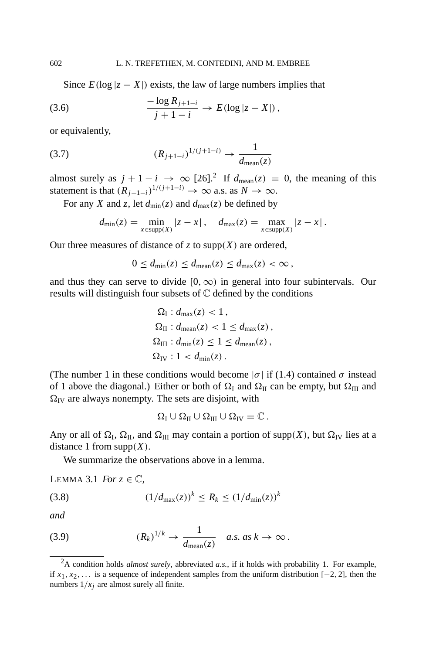Since  $E(\log|z - X|)$  exists, the law of large numbers implies that

(3.6) 
$$
\frac{-\log R_{j+1-i}}{j+1-i} \to E(\log |z - X|),
$$

or equivalently,

(3.7) 
$$
(R_{j+1-i})^{1/(j+1-i)} \to \frac{1}{d_{\text{mean}}(z)}
$$

almost surely as  $j + 1 - i \rightarrow \infty$  [26].<sup>2</sup> If  $d_{\text{mean}}(z) = 0$ , the meaning of this statement is that  $(R_{j+1-i})^{1/(j+1-i)} \rightarrow \infty$  a.s. as  $N \rightarrow \infty$ .

For any *X* and *z*, let  $d_{\text{min}}(z)$  and  $d_{\text{max}}(z)$  be defined by

$$
d_{\min}(z) = \min_{x \in \text{supp}(X)} |z - x|, \quad d_{\max}(z) = \max_{x \in \text{supp}(X)} |z - x|.
$$

Our three measures of distance of  $z$  to supp $(X)$  are ordered,

$$
0 \le d_{\min}(z) \le d_{\text{mean}}(z) \le d_{\max}(z) < \infty
$$

and thus they can serve to divide  $[0, \infty)$  in general into four subintervals. Our results will distinguish four subsets of  $\mathbb C$  defined by the conditions

$$
\Omega_{\rm I}: d_{\rm max}(z) < 1,
$$
\n
$$
\Omega_{\rm II}: d_{\rm mean}(z) < 1 \leq d_{\rm max}(z),
$$
\n
$$
\Omega_{\rm III}: d_{\rm min}(z) \leq 1 \leq d_{\rm mean}(z),
$$
\n
$$
\Omega_{\rm IV}: 1 < d_{\rm min}(z).
$$

(The number 1 in these conditions would become  $|\sigma|$  if (1.4) contained  $\sigma$  instead of 1 above the diagonal.) Either or both of  $\Omega$ <sub>I</sub> and  $\Omega$ <sub>II</sub> can be empty, but  $\Omega$ <sub>III</sub> and  $\Omega$ <sub>IV</sub> are always nonempty. The sets are disjoint, with

 $\Omega_{\rm I} \cup \Omega_{\rm II} \cup \Omega_{\rm III} \cup \Omega_{\rm IV} = \mathbb{C}$ .

Any or all of  $\Omega$ <sub>I</sub>,  $\Omega$ <sub>II</sub>, and  $\Omega$ <sub>III</sub> may contain a portion of supp(*X*), but  $\Omega$ <sub>IV</sub> lies at a distance 1 from  $supp(X)$ .

We summarize the observations above in a lemma.

LEMMA 3.1 *For*  $z \in \mathbb{C}$ ,

(3.8) 
$$
(1/d_{\max}(z))^k \le R_k \le (1/d_{\min}(z))^k
$$

*and*

(3.9) 
$$
(R_k)^{1/k} \to \frac{1}{d_{\text{mean}}(z)} \quad a.s. \text{ as } k \to \infty.
$$

<sup>2</sup>A condition holds *almost surely*, abbreviated *a.s.*, if it holds with probability 1. For example, if  $x_1, x_2, \ldots$  is a sequence of independent samples from the uniform distribution [−2, 2], then the numbers  $1/x_i$  are almost surely all finite.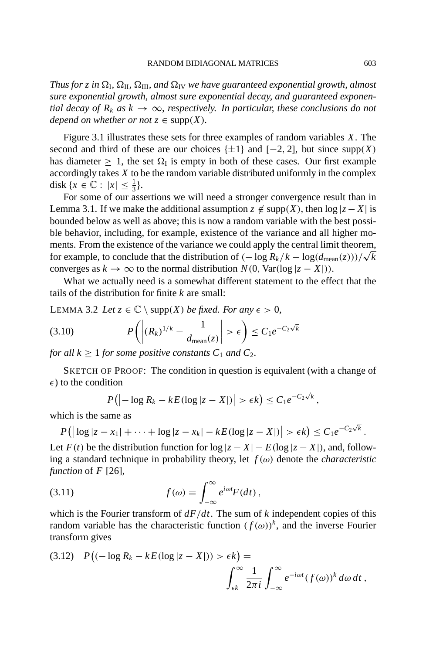*Thus for z in*  $\Omega$ <sub>*I</sub></sub>,*  $\Omega$ *<sub><i>III</sub>*, *and*  $\Omega$ <sub>*IV</sub> we have guaranteed exponential growth, almost*</sub></sub></sub> *sure exponential growth, almost sure exponential decay, and guaranteed exponential decay of R<sub>k</sub> as*  $k \to \infty$ *, respectively. In particular, these conclusions do not depend on whether or not*  $z \in \text{supp}(X)$ *.* 

Figure 3.1 illustrates these sets for three examples of random variables *X*. The second and third of these are our choices  $\{\pm 1\}$  and  $[-2, 2]$ , but since supp(*X*) has diameter  $> 1$ , the set  $\Omega_I$  is empty in both of these cases. Our first example accordingly takes *X* to be the random variable distributed uniformly in the complex disk  $\{x \in \mathbb{C} : |x| \leq \frac{1}{3}\}.$ 

For some of our assertions we will need a stronger convergence result than in Lemma 3.1. If we make the additional assumption  $z \notin \text{supp}(X)$ , then  $\log|z - X|$  is bounded below as well as above; this is now a random variable with the best possible behavior, including, for example, existence of the variance and all higher moments. From the existence of the variance we could apply the central limit theorem, for example, to conclude that the distribution of  $(-\log R_k/k - \log(d_{\text{mean}}(z)))/\sqrt{k}$ converges as  $k \to \infty$  to the normal distribution  $N(0, \text{Var}(\log |z - X|)).$ 

What we actually need is a somewhat different statement to the effect that the tails of the distribution for finite *k* are small:

LEMMA 3.2 *Let*  $z \in \mathbb{C} \setminus \text{supp}(X)$  *be fixed. For any*  $\epsilon > 0$ *,* 

$$
(3.10) \t P\left(\left|(R_k)^{1/k} - \frac{1}{d_{\text{mean}}(z)}\right| > \epsilon\right) \le C_1 e^{-C_2\sqrt{k}}
$$

*for all*  $k \geq 1$  *for some positive constants*  $C_1$  *and*  $C_2$ *.* 

SKETCH OF PROOF: The condition in question is equivalent (with a change of  $\epsilon$ ) to the condition

$$
P(|-\log R_k - kE(\log|z-X|)| > \epsilon k) \leq C_1 e^{-C_2\sqrt{k}},
$$

which is the same as

$$
P\big(\big|\log|z-x_1|+\cdots+\log|z-x_k|-kE(\log|z-X|)\big|>\epsilon k\big)\leq C_1e^{-C_2\sqrt{k}}.
$$

Let  $F(t)$  be the distribution function for  $\log|z - X| - E(\log|z - X|)$ , and, following a standard technique in probability theory, let  $f(\omega)$  denote the *characteristic function* of *F* [26],

(3.11) 
$$
f(\omega) = \int_{-\infty}^{\infty} e^{i\omega t} F(dt),
$$

which is the Fourier transform of *dF*/*dt*. The sum of *k* independent copies of this random variable has the characteristic function  $(f(\omega))^k$ , and the inverse Fourier transform gives

(3.12) 
$$
P\big((-\log R_k - kE(\log|z - X|)) > \epsilon k\big) = \int_{\epsilon k}^{\infty} \frac{1}{2\pi i} \int_{-\infty}^{\infty} e^{-i\omega t} (f(\omega))^k d\omega dt,
$$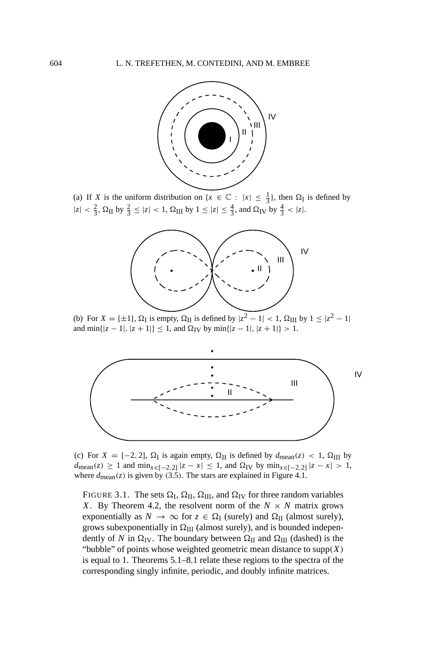

(a) If *X* is the uniform distribution on  $\{x \in \mathbb{C} : |x| \leq \frac{1}{3}\}$ , then  $\Omega_I$  is defined by  $|z| < \frac{2}{3}$ ,  $\Omega_{\text{II}}$  by  $\frac{2}{3} \le |z| < 1$ ,  $\Omega_{\text{III}}$  by  $1 \le |z| \le \frac{4}{3}$ , and  $\Omega_{\text{IV}}$  by  $\frac{4}{3} < |z|$ .



(b) For  $X = \{\pm 1\}$ ,  $\Omega_I$  is empty,  $\Omega_{II}$  is defined by  $|z^2 - 1| < 1$ ,  $\Omega_{III}$  by  $1 \le |z^2 - 1|$ and  $\min\{|z - 1|, |z + 1|\} \le 1$ , and  $\Omega_{\text{IV}}$  by  $\min\{|z - 1|, |z + 1|\} > 1$ .



(c) For  $X = [-2, 2]$ ,  $\Omega_I$  is again empty,  $\Omega_{II}$  is defined by  $d_{\text{mean}}(z) < 1$ ,  $\Omega_{III}$  by  $d$ mean(*z*) ≥ 1 and min<sub>*x*∈[−2,2]</sub> |*z* − *x*| ≤ 1, and  $\Omega$ <sub>IV</sub> by min<sub>*x*∈[−2,2]</sub> |*z* − *x*| > 1, where  $d_{\text{mean}}(z)$  is given by (3.5). The stars are explained in Figure 4.1.

FIGURE 3.1. The sets  $\Omega$ <sub>I</sub>,  $\Omega$ <sub>II</sub>,  $\Omega$ <sub>III</sub>, and  $\Omega$ <sub>IV</sub> for three random variables *X*. By Theorem 4.2, the resolvent norm of the  $N \times N$  matrix grows exponentially as  $N \to \infty$  for  $z \in \Omega$ <sub>I</sub> (surely) and  $\Omega$ <sub>II</sub> (almost surely), grows subexponentially in  $\Omega_{III}$  (almost surely), and is bounded independently of *N* in  $\Omega$ <sub>IV</sub>. The boundary between  $\Omega$ <sub>II</sub> and  $\Omega$ <sub>III</sub> (dashed) is the "bubble" of points whose weighted geometric mean distance to  $\text{supp}(X)$ is equal to 1. Theorems 5.1–8.1 relate these regions to the spectra of the corresponding singly infinite, periodic, and doubly infinite matrices.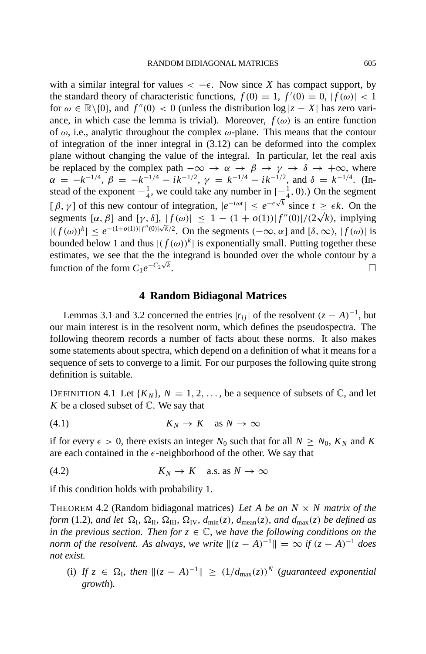with a similar integral for values  $\lt -\epsilon$ . Now since *X* has compact support, by the standard theory of characteristic functions,  $f(0) = 1$ ,  $f'(0) = 0$ ,  $|f(\omega)| < 1$ for  $\omega \in \mathbb{R} \setminus \{0\}$ , and  $f''(0) < 0$  (unless the distribution  $\log |z - X|$  has zero variance, in which case the lemma is trivial). Moreover,  $f(\omega)$  is an entire function of  $\omega$ , i.e., analytic throughout the complex  $\omega$ -plane. This means that the contour of integration of the inner integral in  $(3.12)$  can be deformed into the complex plane without changing the value of the integral. In particular, let the real axis be replaced by the complex path  $-\infty \to \alpha \to \beta \to \gamma \to \delta \to +\infty$ , where  $\alpha = -k^{-1/4}, \beta = -k^{-1/4} - ik^{-1/2}, \gamma = k^{-1/4} - ik^{-1/2}, \text{ and } \delta = k^{-1/4}.$  (Instead of the exponent  $-\frac{1}{4}$ , we could take any number in  $[-\frac{1}{4}, 0)$ .) On the segment  $[\beta, \gamma]$  of this new contour of integration,  $|e^{-i\omega t}| \leq e^{-\epsilon\sqrt{k}}$  since  $t \geq \epsilon k$ . On the  $\left[\begin{array}{cc} \beta, \gamma \end{array}\right]$  or this new contour or integration,  $\left[\begin{array}{cc} e^{-\alpha x} \end{array}\right] \leq e^{-\alpha x}$  since  $t \geq \epsilon \kappa$ . On the segments  $[\alpha, \beta]$  and  $[\gamma, \delta], |f(\omega)| \leq 1 - (1 + o(1)) |f''(0)|/(2\sqrt{k})$ , implying  $|(f(\omega))^k| \leq e^{-(1+o(1))|f''(0)|\sqrt{k}/2}$ . On the segments  $(-\infty, \alpha]$  and  $[\delta, \infty)$ ,  $|f(\omega)|$  is bounded below 1 and thus  $| (f(\omega))^k |$  is exponentially small. Putting together these estimates, we see that the the integrand is bounded over the whole contour by a function of the form  $C_1e^{-C_2\sqrt{k}}$ . function of the form  $C_1e^{-C_2\sqrt{k}}$ .

#### **4 Random Bidiagonal Matrices**

Lemmas 3.1 and 3.2 concerned the entries  $|r_{ij}|$  of the resolvent  $(z - A)^{-1}$ , but our main interest is in the resolvent norm, which defines the pseudospectra. The following theorem records a number of facts about these norms. It also makes some statements about spectra, which depend on a definition of what it means for a sequence of sets to converge to a limit. For our purposes the following quite strong definition is suitable.

DEFINITION 4.1 Let  $\{K_N\}$ ,  $N = 1, 2, \ldots$ , be a sequence of subsets of  $\mathbb{C}$ , and let *K* be a closed subset of  $\mathbb{C}$ . We say that

$$
(4.1) \t K_N \to K \t as N \to \infty
$$

if for every  $\epsilon > 0$ , there exists an integer  $N_0$  such that for all  $N \ge N_0$ ,  $K_N$  and K are each contained in the  $\epsilon$ -neighborhood of the other. We say that

$$
(4.2) \t K_N \to K \quad \text{a.s. as } N \to \infty
$$

if this condition holds with probability 1.

THEOREM 4.2 (Random bidiagonal matrices) *Let A be an N* × *N matrix of the form* (1.2)*, and let*  $\Omega$ <sub>*l</sub>*,  $\Omega$ <sub>*II</sub>*,  $\Omega$ <sub>*III</sub>*,  $\Omega$ <sub>*IV*</sub>,  $d_{\min}(z)$ *, d*<sub>mean</sub>(*z*)*, and d*<sub>max</sub>(*z*) *be defined as*</sub></sub></sub> *in the previous section. Then for*  $z \in \mathbb{C}$ *, we have the following conditions on the norm of the resolvent. As always, we write*  $||(z - A)^{-1}|| = \infty$  *if*  $(z - A)^{-1}$  *does not exist.*

(i) *If*  $z \in \Omega$ <sub>*I</sub>*, *then*  $||(z - A)^{-1}|| \ge (1/d_{max}(z))^N$  (*guaranteed exponential*</sub> *growth*)*.*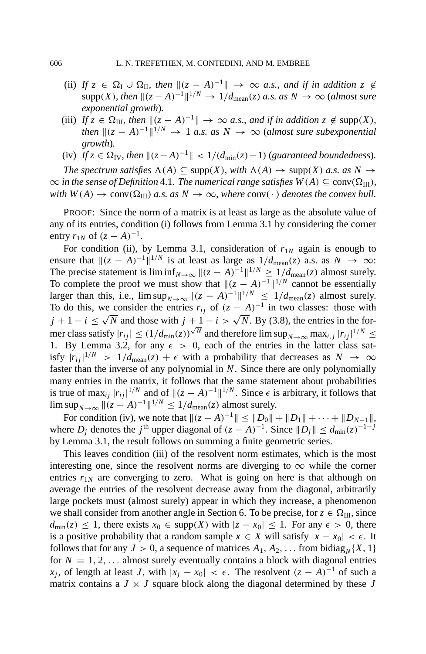- (ii) *If*  $z \in \Omega$ <sub>I</sub>  $\cup \Omega$ <sub>II</sub>, then  $\|(z A)^{-1}\| \to \infty$  *a.s., and if in addition*  $z \notin \Omega$  $\supp(X)$ *, then*  $\|(z - A)^{-1}\|^{1/N} \to 1/d_{\text{mean}}(z)$  *a.s. as*  $N \to \infty$  (*almost sure exponential growth*)*.*
- (iii) *If*  $z \in \Omega_{III}$ *, then*  $||(z A)^{-1}|| \rightarrow \infty$  *a.s., and if in addition*  $z \notin \text{supp}(X)$ *, then*  $\|(z - A)^{-1}\|^{1/N} \to 1$  *a.s. as*  $N \to \infty$  (*almost sure subexponential growth*)*.*
- (iv)  $\tilde{f}_z \in \Omega_{\text{IV}}$ , then  $\|(z A)^{-1}\| < 1/(d_{\min}(z) 1)$  (guaranteed boundedness).

*The spectrum satisfies*  $\Lambda(A) \subseteq \text{supp}(X)$ *, with*  $\Lambda(A) \to \text{supp}(X)$  *a.s. as*  $N \to$  $\infty$  *in the sense of Definition* 4.1*. The numerical range satisfies*  $W(A) \subseteq \text{conv}(\Omega_{\text{III}})$ *, with*  $W(A) \to \text{conv}(\Omega_{III})$  *a.s. as*  $N \to \infty$ *, where* conv(·) *denotes the convex hull.* 

PROOF: Since the norm of a matrix is at least as large as the absolute value of any of its entries, condition (i) follows from Lemma 3.1 by considering the corner entry  $r_{1N}$  of  $(z - A)^{-1}$ .

For condition (ii), by Lemma 3.1, consideration of  $r_{1N}$  again is enough to ensure that  $\|(z - A)^{-1}\|^{1/N}$  is at least as large as  $1/d_{\text{mean}}(z)$  a.s. as  $N \to \infty$ : The precise statement is  $\liminf_{N\to\infty}$   $\|(z - A)^{-1}\|^{1/N} \ge 1/d_{\text{mean}}(z)$  almost surely. To complete the proof we must show that  $\|(z - A)^{-1}\|^{1/N}$  cannot be essentially larger than this, i.e.,  $\limsup_{N\to\infty}$   $\|(z - A)^{-1}\|^{1/N} \le 1/d_{\text{mean}}(z)$  almost surely. To do this, we consider the entries  $r_{ij}$  of  $(z - A)^{-1}$  in two classes: those with  $j + 1 - i \leq \sqrt{N}$  and those with  $j + 1 - i > \sqrt{N}$ . By (3.8), the entries in the for- $\int f(x) dx$  and those with  $f'(x) dx$  and therefore lim sup<sub>*N*→∞</sub> max<sub>*i*,*j*</sub>  $|r_{ij}|^{1/N}$  ≤ 1. By Lemma 3.2, for any  $\epsilon > 0$ , each of the entries in the latter class satisfy  $|r_{ij}|^{1/N}$  > 1/ $d_{\text{mean}}(z)$  +  $\epsilon$  with a probability that decreases as  $N \to \infty$ faster than the inverse of any polynomial in *N*. Since there are only polynomially many entries in the matrix, it follows that the same statement about probabilities is true of max<sub>*ij*</sub>  $|r_{ij}|^{1/N}$  and of  $||(z - A)^{-1}||^{1/N}$ . Since  $\epsilon$  is arbitrary, it follows that lim sup<sub>*N*→∞</sub>  $||(z - A)^{-1}||^{1/N}$  ≤ 1/*d*<sub>mean</sub>(*z*) almost surely.

For condition (iv), we note that  $||(z - A)^{-1}|| \le ||D_0|| + ||D_1|| + \cdots + ||D_{N-1}||$ , where *D<sub>i</sub>* denotes the *j*<sup>th</sup> upper diagonal of  $(z - A)^{-1}$ . Since  $||D_j|| \le d_{\min}(z)^{-1-j}$ by Lemma 3.1, the result follows on summing a finite geometric series.

This leaves condition (iii) of the resolvent norm estimates, which is the most interesting one, since the resolvent norms are diverging to  $\infty$  while the corner entries  $r_{1N}$  are converging to zero. What is going on here is that although on average the entries of the resolvent decrease away from the diagonal, arbitrarily large pockets must (almost surely) appear in which they increase, a phenomenon we shall consider from another angle in Section 6. To be precise, for  $z \in \Omega_{III}$ , since  $d_{\min}(z)$  ≤ 1, there exists  $x_0$  ∈ supp(*X*) with  $|z - x_0|$  ≤ 1. For any  $\epsilon > 0$ , there is a positive probability that a random sample  $x \in X$  will satisfy  $|x - x_0| < \epsilon$ . It follows that for any  $J > 0$ , a sequence of matrices  $A_1, A_2, \ldots$  from bidiag<sub>N</sub> $\{X, 1\}$ for  $N = 1, 2, \ldots$  almost surely eventually contains a block with diagonal entries *x<sub>i</sub>*, of length at least *J*, with  $|x_i - x_0| < \epsilon$ . The resolvent  $(z - A)^{-1}$  of such a matrix contains a  $J \times J$  square block along the diagonal determined by these  $J$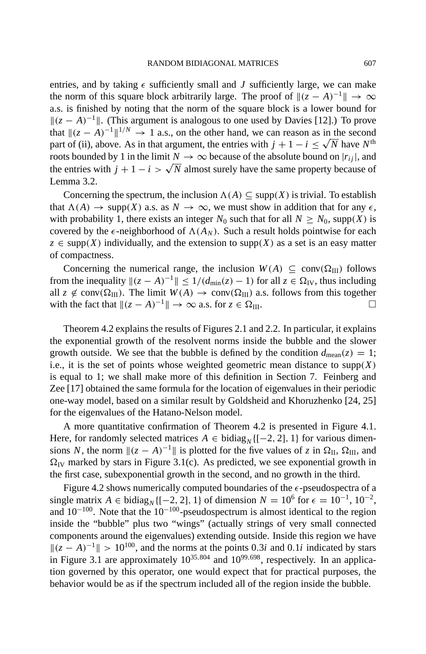entries, and by taking  $\epsilon$  sufficiently small and *J* sufficiently large, we can make the norm of this square block arbitrarily large. The proof of  $||(z - A)^{-1}|| \rightarrow \infty$ a.s. is finished by noting that the norm of the square block is a lower bound for  $||(z - A)^{-1}||$ . (This argument is analogous to one used by Davies [12].) To prove that  $\|(z - A)^{-1}\|^{1/N} \to 1$  a.s., on the other hand, we can reason as in the second part of (ii), above. As in that argument, the entries with  $j + 1 - i \leq \sqrt{N}$  have  $N^{\text{th}}$ roots bounded by 1 in the limit  $N \to \infty$  because of the absolute bound on  $|r_{ij}|$ , and the entries with  $j + 1 - i > \sqrt{N}$  almost surely have the same property because of Lemma 3.2.

Concerning the spectrum, the inclusion  $\Lambda(A) \subseteq \text{supp}(X)$  is trivial. To establish that  $\Lambda(A) \to \text{supp}(X)$  a.s. as  $N \to \infty$ , we must show in addition that for any  $\epsilon$ , with probability 1, there exists an integer  $N_0$  such that for all  $N > N_0$ , supp(*X*) is covered by the  $\epsilon$ -neighborhood of  $\Lambda(A_N)$ . Such a result holds pointwise for each  $z \in supp(X)$  individually, and the extension to supp(*X*) as a set is an easy matter of compactness.

Concerning the numerical range, the inclusion  $W(A) \subseteq \text{conv}(\Omega_{III})$  follows from the inequality  $||(z - A)^{-1}|| \le 1/(d_{\min}(z) - 1)$  for all  $z \in \Omega_{\text{IV}}$ , thus including all  $z \notin \text{conv}(\Omega_{\text{III}})$ . The limit  $W(A) \to \text{conv}(\Omega_{\text{III}})$  a.s. follows from this together with the fact that  $||(z - A)^{-1}|| \to \infty$  a.s. for  $z \in \Omega_{III}$ .

Theorem 4.2 explains the results of Figures 2.1 and 2.2. In particular, it explains the exponential growth of the resolvent norms inside the bubble and the slower growth outside. We see that the bubble is defined by the condition  $d_{\text{mean}}(z) = 1$ ; i.e., it is the set of points whose weighted geometric mean distance to  $\text{supp}(X)$ is equal to 1; we shall make more of this definition in Section 7. Feinberg and Zee [17] obtained the same formula for the location of eigenvalues in their periodic one-way model, based on a similar result by Goldsheid and Khoruzhenko [24, 25] for the eigenvalues of the Hatano-Nelson model.

A more quantitative confirmation of Theorem 4.2 is presented in Figure 4.1. Here, for randomly selected matrices  $A \in \text{bidiag}_{N} \{[-2, 2], 1\}$  for various dimensions *N*, the norm  $\|(z - A)^{-1}\|$  is plotted for the five values of *z* in  $\Omega_{\text{II}}$ ,  $\Omega_{\text{III}}$ , and  $\Omega_{\text{IV}}$  marked by stars in Figure 3.1(c). As predicted, we see exponential growth in the first case, subexponential growth in the second, and no growth in the third.

Figure 4.2 shows numerically computed boundaries of the  $\epsilon$ -pseudospectra of a single matrix *A* ∈ bidiag<sub>*N*</sub>{[-2, 2], 1} of dimension  $N = 10^6$  for  $\epsilon = 10^{-1}$ , 10<sup>-2</sup>, and  $10^{-100}$ . Note that the  $10^{-100}$ -pseudospectrum is almost identical to the region inside the "bubble" plus two "wings" (actually strings of very small connected components around the eigenvalues) extending outside. Inside this region we have  $||(z - A)^{-1}|| > 10^{100}$ , and the norms at the points 0.3*i* and 0.1*i* indicated by stars in Figure 3.1 are approximately  $10^{35,804}$  and  $10^{99,698}$ , respectively. In an application governed by this operator, one would expect that for practical purposes, the behavior would be as if the spectrum included all of the region inside the bubble.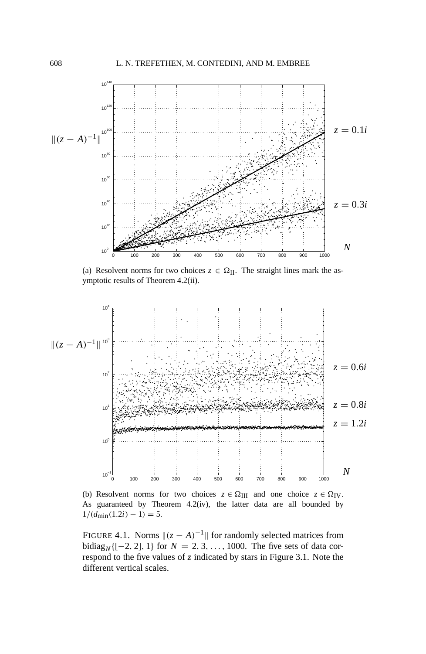

(a) Resolvent norms for two choices  $z \in \Omega_{II}$ . The straight lines mark the asymptotic results of Theorem 4.2(ii).



(b) Resolvent norms for two choices  $z \in \Omega_{III}$  and one choice  $z \in \Omega_{IV}$ . As guaranteed by Theorem 4.2(iv), the latter data are all bounded by  $1/(d_{\text{min}}(1.2i) - 1) = 5.$ 

FIGURE 4.1. Norms  $||(z - A)^{-1}||$  for randomly selected matrices from bidiag<sub>*N*</sub> {[−2, 2], 1} for  $N = 2, 3, ..., 1000$ . The five sets of data correspond to the five values of *z* indicated by stars in Figure 3.1. Note the different vertical scales.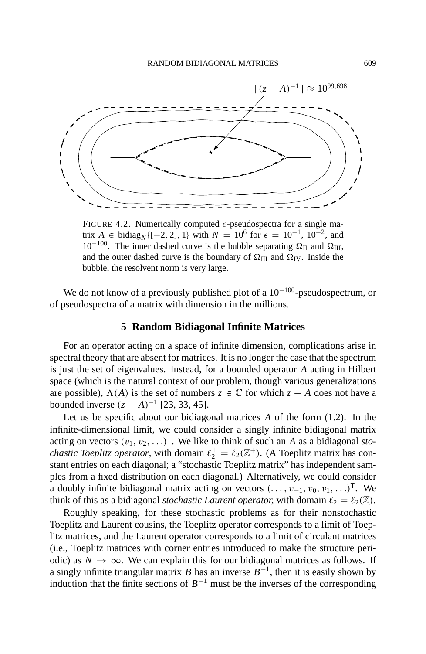

FIGURE 4.2. Numerically computed  $\epsilon$ -pseudospectra for a single matrix *A* ∈ bidiag<sub>*N*</sub>{[-2, 2], 1} with *N* = 10<sup>6</sup> for  $\epsilon$  = 10<sup>-1</sup>, 10<sup>-2</sup>, and  $10^{-100}$ . The inner dashed curve is the bubble separating  $\Omega_{\text{II}}$  and  $\Omega_{\text{III}}$ , and the outer dashed curve is the boundary of  $\Omega_{III}$  and  $\Omega_{IV}$ . Inside the bubble, the resolvent norm is very large.

We do not know of a previously published plot of a  $10^{-100}$ -pseudospectrum, or of pseudospectra of a matrix with dimension in the millions.

### **5 Random Bidiagonal Infinite Matrices**

For an operator acting on a space of infinite dimension, complications arise in spectral theory that are absent for matrices. It is no longer the case that the spectrum is just the set of eigenvalues. Instead, for a bounded operator *A* acting in Hilbert space (which is the natural context of our problem, though various generalizations are possible),  $\Lambda(A)$  is the set of numbers  $z \in \mathbb{C}$  for which  $z - A$  does not have a bounded inverse  $(z - A)^{-1}$  [23, 33, 45].

Let us be specific about our bidiagonal matrices *A* of the form (1.2). In the infinite-dimensional limit, we could consider a singly infinite bidiagonal matrix acting on vectors  $(v_1, v_2, \ldots)^\mathsf{T}$ . We like to think of such an *A* as a bidiagonal *stochastic Toeplitz operator*, with domain  $\ell_2^+ = \ell_2(\mathbb{Z}^+)$ . (A Toeplitz matrix has constant entries on each diagonal; a "stochastic Toeplitz matrix" has independent samples from a fixed distribution on each diagonal.) Alternatively, we could consider a doubly infinite bidiagonal matrix acting on vectors  $(\ldots, v_{-1}, v_0, v_1, \ldots)^\mathsf{T}$ . We think of this as a bidiagonal *stochastic Laurent operator*, with domain  $\ell_2 = \ell_2(\mathbb{Z})$ .

Roughly speaking, for these stochastic problems as for their nonstochastic Toeplitz and Laurent cousins, the Toeplitz operator corresponds to a limit of Toeplitz matrices, and the Laurent operator corresponds to a limit of circulant matrices (i.e., Toeplitz matrices with corner entries introduced to make the structure periodic) as  $N \to \infty$ . We can explain this for our bidiagonal matrices as follows. If a singly infinite triangular matrix *B* has an inverse  $B^{-1}$ , then it is easily shown by induction that the finite sections of  $B^{-1}$  must be the inverses of the corresponding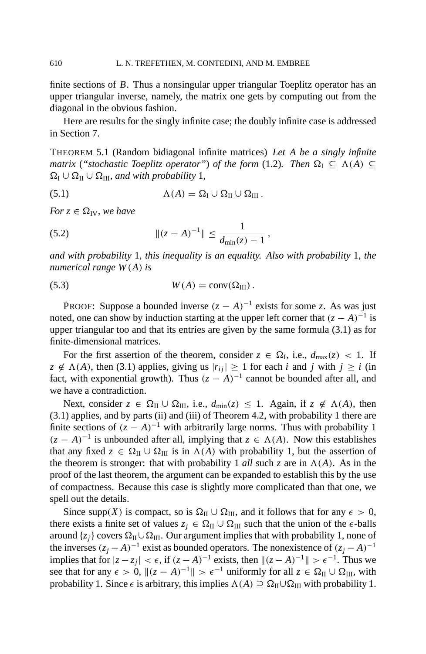finite sections of *B*. Thus a nonsingular upper triangular Toeplitz operator has an upper triangular inverse, namely, the matrix one gets by computing out from the diagonal in the obvious fashion.

Here are results for the singly infinite case; the doubly infinite case is addressed in Section 7.

THEOREM 5.1 (Random bidiagonal infinite matrices) *Let A be a singly infinite matrix* ("*stochastic Toeplitz operator"*) *of the form* (1.2)*. Then*  $\Omega_I \subseteq \Lambda(A) \subseteq$  $\Omega_{\rm I} \cup \Omega_{\rm II} \cup \Omega_{\rm III}$ *, and with probability* 1*,* 

(5.1) 
$$
\Lambda(A) = \Omega_{\rm I} \cup \Omega_{\rm II} \cup \Omega_{\rm III}.
$$

*For*  $z \in \Omega$ <sub>*IV*</sub>, *we have* 

(5.2) 
$$
\|(z - A)^{-1}\| \le \frac{1}{d_{\min}(z) - 1},
$$

*and with probability* 1*, this inequality is an equality. Also with probability* 1*, the numerical range W*(*A*) *is*

(5.3) 
$$
W(A) = \text{conv}(\Omega_{\text{III}}).
$$

PROOF: Suppose a bounded inverse  $(z - A)^{-1}$  exists for some *z*. As was just noted, one can show by induction starting at the upper left corner that  $(z - A)^{-1}$  is upper triangular too and that its entries are given by the same formula (3.1) as for finite-dimensional matrices.

For the first assertion of the theorem, consider  $z \in \Omega_{\text{I}}$ , i.e.,  $d_{\text{max}}(z) < 1$ . If  $z \notin \Lambda(A)$ , then (3.1) applies, giving us  $|r_{ii}| \ge 1$  for each *i* and *j* with  $j \ge i$  (in fact, with exponential growth). Thus  $(z - A)^{-1}$  cannot be bounded after all, and we have a contradiction.

Next, consider  $z \in \Omega_{\text{II}} \cup \Omega_{\text{III}}$ , i.e.,  $d_{\text{min}}(z) \leq 1$ . Again, if  $z \notin \Lambda(A)$ , then (3.1) applies, and by parts (ii) and (iii) of Theorem 4.2, with probability 1 there are finite sections of  $(z - A)^{-1}$  with arbitrarily large norms. Thus with probability 1  $(z - A)^{-1}$  is unbounded after all, implying that  $z \in \Lambda(A)$ . Now this establishes that any fixed  $z \in \Omega_{II} \cup \Omega_{III}$  is in  $\Lambda(A)$  with probability 1, but the assertion of the theorem is stronger: that with probability 1 *all* such *z* are in  $\Lambda(A)$ . As in the proof of the last theorem, the argument can be expanded to establish this by the use of compactness. Because this case is slightly more complicated than that one, we spell out the details.

Since supp(*X*) is compact, so is  $\Omega_{II} \cup \Omega_{III}$ , and it follows that for any  $\epsilon > 0$ , there exists a finite set of values  $z_j \in \Omega_{II} \cup \Omega_{III}$  such that the union of the  $\epsilon$ -balls around  $\{z_i\}$  covers  $\Omega_{II} \cup \Omega_{III}$ . Our argument implies that with probability 1, none of the inverses  $(z_j - A)^{-1}$  exist as bounded operators. The nonexistence of  $(z_j - A)^{-1}$ implies that for  $|z - z_j| < \epsilon$ , if  $(z - A)^{-1}$  exists, then  $||(z - A)^{-1}|| > \epsilon^{-1}$ . Thus we see that for any  $\epsilon > 0$ ,  $\|(z - A)^{-1}\| > \epsilon^{-1}$  uniformly for all  $z \in \Omega_{\text{II}} \cup \Omega_{\text{III}}$ , with probability 1. Since  $\epsilon$  is arbitrary, this implies  $\Lambda(A) \supseteq \Omega_{II} \cup \Omega_{III}$  with probability 1.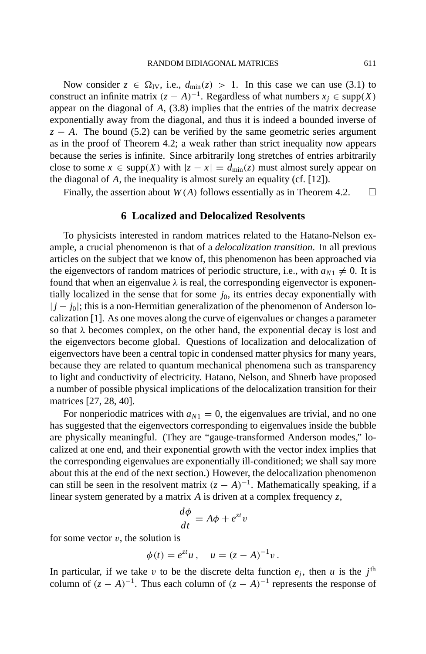Now consider  $z \in \Omega_{\text{IV}}$ , i.e.,  $d_{\text{min}}(z) > 1$ . In this case we can use (3.1) to construct an infinite matrix  $(z - A)^{-1}$ . Regardless of what numbers  $x_i \in \text{supp}(X)$ appear on the diagonal of *A*, (3.8) implies that the entries of the matrix decrease exponentially away from the diagonal, and thus it is indeed a bounded inverse of  $z - A$ . The bound (5.2) can be verified by the same geometric series argument as in the proof of Theorem 4.2; a weak rather than strict inequality now appears because the series is infinite. Since arbitrarily long stretches of entries arbitrarily close to some  $x \in \text{supp}(X)$  with  $|z - x| = d_{\text{min}}(z)$  must almost surely appear on the diagonal of *A*, the inequality is almost surely an equality (cf. [12]).

Finally, the assertion about  $W(A)$  follows essentially as in Theorem 4.2.  $\square$ 

## **6 Localized and Delocalized Resolvents**

To physicists interested in random matrices related to the Hatano-Nelson example, a crucial phenomenon is that of a *delocalization transition*. In all previous articles on the subject that we know of, this phenomenon has been approached via the eigenvectors of random matrices of periodic structure, i.e., with  $a_{N1} \neq 0$ . It is found that when an eigenvalue  $\lambda$  is real, the corresponding eigenvector is exponentially localized in the sense that for some  $j_0$ , its entries decay exponentially with  $|j - j_0|$ ; this is a non-Hermitian generalization of the phenomenon of Anderson localization [1]. As one moves along the curve of eigenvalues or changes a parameter so that  $\lambda$  becomes complex, on the other hand, the exponential decay is lost and the eigenvectors become global. Questions of localization and delocalization of eigenvectors have been a central topic in condensed matter physics for many years, because they are related to quantum mechanical phenomena such as transparency to light and conductivity of electricity. Hatano, Nelson, and Shnerb have proposed a number of possible physical implications of the delocalization transition for their matrices [27, 28, 40].

For nonperiodic matrices with  $a_{N1} = 0$ , the eigenvalues are trivial, and no one has suggested that the eigenvectors corresponding to eigenvalues inside the bubble are physically meaningful. (They are "gauge-transformed Anderson modes," localized at one end, and their exponential growth with the vector index implies that the corresponding eigenvalues are exponentially ill-conditioned; we shall say more about this at the end of the next section.) However, the delocalization phenomenon can still be seen in the resolvent matrix  $(z - A)^{-1}$ . Mathematically speaking, if a linear system generated by a matrix *A* is driven at a complex frequency *z*,

$$
\frac{d\phi}{dt} = A\phi + e^{zt}v
$$

for some vector  $v$ , the solution is

$$
\phi(t) = e^{zt}u
$$
,  $u = (z - A)^{-1}v$ .

In particular, if we take v to be the discrete delta function  $e_i$ , then u is the  $j^{\text{th}}$ column of  $(z - A)^{-1}$ . Thus each column of  $(z - A)^{-1}$  represents the response of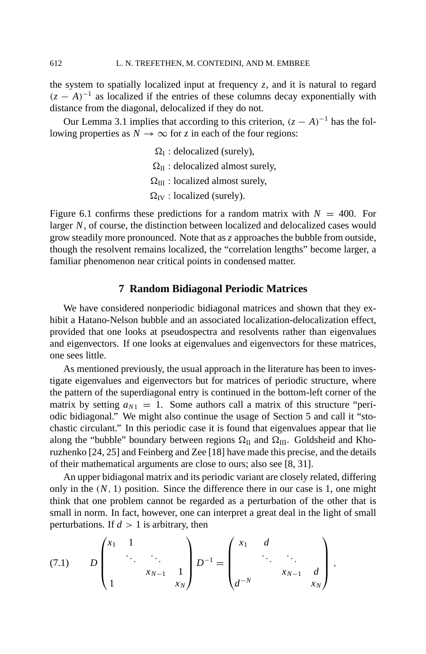the system to spatially localized input at frequency  $z$ , and it is natural to regard  $(z - A)^{-1}$  as localized if the entries of these columns decay exponentially with distance from the diagonal, delocalized if they do not.

Our Lemma 3.1 implies that according to this criterion,  $(z - A)^{-1}$  has the following properties as  $N \to \infty$  for *z* in each of the four regions:

> $\Omega$ <sub>I</sub>: delocalized (surely),  $\Omega_{II}$ : delocalized almost surely,  $\Omega_{\text{III}}$  : localized almost surely,  $\Omega$ <sub>IV</sub> : localized (surely).

Figure 6.1 confirms these predictions for a random matrix with  $N = 400$ . For larger *N*, of course, the distinction between localized and delocalized cases would grow steadily more pronounced. Note that as *z* approaches the bubble from outside, though the resolvent remains localized, the "correlation lengths" become larger, a familiar phenomenon near critical points in condensed matter.

# **7 Random Bidiagonal Periodic Matrices**

We have considered nonperiodic bidiagonal matrices and shown that they exhibit a Hatano-Nelson bubble and an associated localization-delocalization effect, provided that one looks at pseudospectra and resolvents rather than eigenvalues and eigenvectors. If one looks at eigenvalues and eigenvectors for these matrices, one sees little.

As mentioned previously, the usual approach in the literature has been to investigate eigenvalues and eigenvectors but for matrices of periodic structure, where the pattern of the superdiagonal entry is continued in the bottom-left corner of the matrix by setting  $a_{N1} = 1$ . Some authors call a matrix of this structure "periodic bidiagonal." We might also continue the usage of Section 5 and call it "stochastic circulant." In this periodic case it is found that eigenvalues appear that lie along the "bubble" boundary between regions  $\Omega_{II}$  and  $\Omega_{III}$ . Goldsheid and Khoruzhenko [24, 25] and Feinberg and Zee [18] have made this precise, and the details of their mathematical arguments are close to ours; also see [8, 31].

An upper bidiagonal matrix and its periodic variant are closely related, differing only in the  $(N, 1)$  position. Since the difference there in our case is 1, one might think that one problem cannot be regarded as a perturbation of the other that is small in norm. In fact, however, one can interpret a great deal in the light of small perturbations. If  $d > 1$  is arbitrary, then

$$
(7.1) \t D \begin{pmatrix} x_1 & 1 & & \\ & \ddots & \ddots & \\ & & x_{N-1} & 1 \\ 1 & & & x_N \end{pmatrix} D^{-1} = \begin{pmatrix} x_1 & d & & \\ & \ddots & \ddots & \\ & & x_{N-1} & d \\ d^{-N} & & & x_N \end{pmatrix},
$$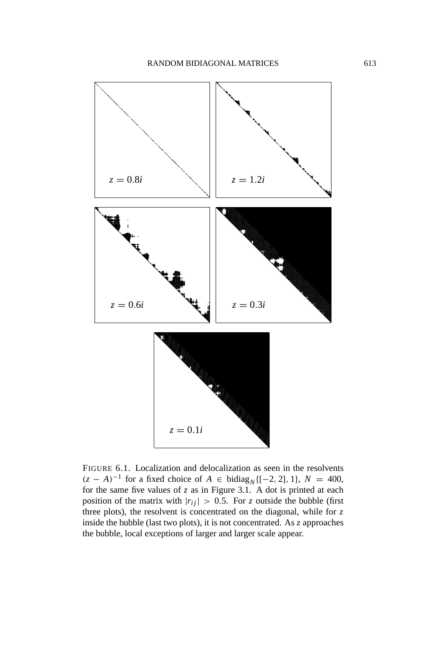

FIGURE 6.1. Localization and delocalization as seen in the resolvents  $(z - A)^{-1}$  for a fixed choice of *A* ∈ bidiag<sub>*N*</sub>{[−2, 2], 1}, *N* = 400, for the same five values of *z* as in Figure 3.1. A dot is printed at each position of the matrix with  $|r_{ij}| > 0.5$ . For *z* outside the bubble (first three plots), the resolvent is concentrated on the diagonal, while for  $z$ inside the bubble (last two plots), it is not concentrated. As *z* approaches the bubble, local exceptions of larger and larger scale appear.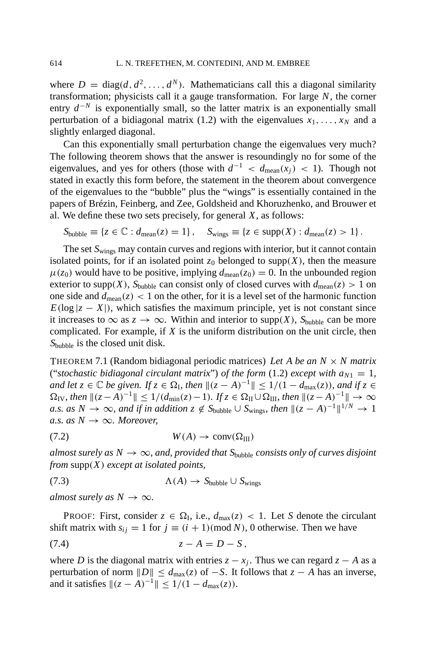where  $D = \text{diag}(d, d^2, \dots, d^N)$ . Mathematicians call this a diagonal similarity transformation; physicists call it a gauge transformation. For large *N*, the corner entry  $d^{-N}$  is exponentially small, so the latter matrix is an exponentially small perturbation of a bidiagonal matrix (1.2) with the eigenvalues  $x_1, \ldots, x_N$  and a slightly enlarged diagonal.

Can this exponentially small perturbation change the eigenvalues very much? The following theorem shows that the answer is resoundingly no for some of the eigenvalues, and yes for others (those with  $d^{-1} < d_{\text{mean}}(x_i) < 1$ ). Though not stated in exactly this form before, the statement in the theorem about convergence of the eigenvalues to the "bubble" plus the "wings" is essentially contained in the papers of Brézin, Feinberg, and Zee, Goldsheid and Khoruzhenko, and Brouwer et al. We define these two sets precisely, for general *X*, as follows:

$$
S_{\text{bubble}} \equiv \{ z \in \mathbb{C} : d_{\text{mean}}(z) = 1 \}, \quad S_{\text{wings}} \equiv \{ z \in \text{supp}(X) : d_{\text{mean}}(z) > 1 \}.
$$

The set  $S_{\text{wings}}$  may contain curves and regions with interior, but it cannot contain isolated points, for if an isolated point  $z_0$  belonged to supp $(X)$ , then the measure  $\mu(z_0)$  would have to be positive, implying  $d_{\text{mean}}(z_0) = 0$ . In the unbounded region exterior to supp(X),  $S_{\text{bubble}}$  can consist only of closed curves with  $d_{\text{mean}}(z) > 1$  on one side and  $d_{\text{mean}}(z) < 1$  on the other, for it is a level set of the harmonic function  $E(\log|z - X|)$ , which satisfies the maximum principle, yet is not constant since it increases to  $\infty$  as  $z \to \infty$ . Within and interior to supp(*X*),  $S_{\text{bubble}}$  can be more complicated. For example, if *X* is the uniform distribution on the unit circle, then *S*bubble is the closed unit disk.

THEOREM 7.1 (Random bidiagonal periodic matrices) *Let A be an N* × *N matrix* ("*stochastic bidiagonal circulant matrix*") *of the form* (1.2) *except with*  $a_{N1} = 1$ , *and let*  $z \in \mathbb{C}$  *be given.* If  $z \in \Omega$ <sub>*I</sub>, then*  $||(z - A)^{-1}|| \le 1/(1 - d_{\max}(z))$ *, and if*  $z \in \Omega$ </sub>  $\Omega_{\text{IV}}$ , then  $\|(z - A)^{-1}\| \leq 1/(d_{\min}(z) - 1)$ *. If*  $z \in \Omega_{\text{II}} \cup \Omega_{\text{III}}$ , then  $\|(z - A)^{-1}\| \to \infty$ *a.s. as*  $N \to \infty$ *, and if in addition*  $z \notin S_{\text{bubble}} \cup S_{\text{wines}}$ *, then*  $||(z - A)^{-1}||^{1/N} \to 1$ *a.s. as*  $N \rightarrow \infty$ *. Moreover,* 

$$
(7.2) \t\t W(A) \to \text{conv}(\Omega_{\text{III}})
$$

*almost surely as N*  $\rightarrow \infty$ *, and, provided that S*<sub>bubble</sub> *consists only of curves disjoint from* supp(*X*) *except at isolated points,*

$$
(7.3) \quad \Lambda(A) \to S_{\text{bubble}} \cup S_{\text{wings}}
$$

*almost surely as*  $N \to \infty$ *.* 

PROOF: First, consider  $z \in \Omega$ <sub>I</sub>, i.e.,  $d_{\text{max}}(z) < 1$ . Let *S* denote the circulant shift matrix with  $s_{ij} = 1$  for  $j \equiv (i + 1) \pmod{N}$ , 0 otherwise. Then we have  $z - A = D - S$ ,

where *D* is the diagonal matrix with entries  $z - x_j$ . Thus we can regard  $z - A$  as a perturbation of norm  $||D|| \le d_{\text{max}}(z)$  of  $-S$ . It follows that  $z - A$  has an inverse, and it satisfies  $||(z - A)^{-1}|| \le 1/(1 - d_{\text{max}}(z)).$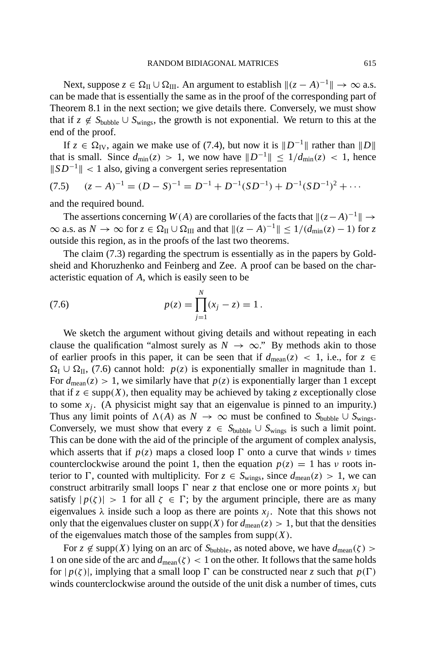Next, suppose  $z \in \Omega_{II} \cup \Omega_{III}$ . An argument to establish  $||(z - A)^{-1}|| \to \infty$  a.s. can be made that is essentially the same as in the proof of the corresponding part of Theorem 8.1 in the next section; we give details there. Conversely, we must show that if  $z \notin S_{\text{bubble}} \cup S_{\text{wings}}$ , the growth is not exponential. We return to this at the end of the proof.

If *z* ∈  $\Omega$ <sub>IV</sub>, again we make use of (7.4), but now it is  $||D^{-1}||$  rather than  $||D||$ that is small. Since  $d_{\text{min}}(z) > 1$ , we now have  $||D^{-1}|| \leq 1/d_{\text{min}}(z) < 1$ , hence  $||SD^{-1}|| < 1$  also, giving a convergent series representation

$$
(7.5) \quad (z - A)^{-1} = (D - S)^{-1} = D^{-1} + D^{-1}(SD^{-1}) + D^{-1}(SD^{-1})^2 + \cdots
$$

and the required bound.

The assertions concerning  $W(A)$  are corollaries of the facts that  $\|(z - A)^{-1}\| \to$  $\infty$  a.s. as  $N \to \infty$  for  $z \in \Omega_{\text{II}} \cup \Omega_{\text{III}}$  and that  $||(z - A)^{-1}|| \le 1/(d_{\min}(z) - 1)$  for z outside this region, as in the proofs of the last two theorems.

The claim (7.3) regarding the spectrum is essentially as in the papers by Goldsheid and Khoruzhenko and Feinberg and Zee. A proof can be based on the characteristic equation of *A*, which is easily seen to be

(7.6) 
$$
p(z) = \prod_{j=1}^{N} (x_j - z) = 1.
$$

We sketch the argument without giving details and without repeating in each clause the qualification "almost surely as  $N \to \infty$ ." By methods akin to those of earlier proofs in this paper, it can be seen that if  $d_{\text{mean}}(z) < 1$ , i.e., for  $z \in$  $\Omega_I \cup \Omega_{II}$ , (7.6) cannot hold: *p*(*z*) is exponentially smaller in magnitude than 1. For  $d_{\text{mean}}(z) > 1$ , we similarly have that  $p(z)$  is exponentially larger than 1 except that if  $z \in \text{supp}(X)$ , then equality may be achieved by taking *z* exceptionally close to some  $x_i$ . (A physicist might say that an eigenvalue is pinned to an impurity.) Thus any limit points of  $\Lambda(A)$  as  $N \to \infty$  must be confined to  $S_{\text{bubble}} \cup S_{\text{wines}}$ . Conversely, we must show that every  $z \in S_{\text{bubble}} \cup S_{\text{wings}}$  is such a limit point. This can be done with the aid of the principle of the argument of complex analysis, which asserts that if  $p(z)$  maps a closed loop  $\Gamma$  onto a curve that winds v times counterclockwise around the point 1, then the equation  $p(z) = 1$  has v roots interior to  $\Gamma$ , counted with multiplicity. For  $z \in S_{wings}$ , since  $d_{mean}(z) > 1$ , we can construct arbitrarily small loops  $\Gamma$  near *z* that enclose one or more points  $x_i$  but satisfy  $|p(\zeta)| > 1$  for all  $\zeta \in \Gamma$ ; by the argument principle, there are as many eigenvalues  $\lambda$  inside such a loop as there are points  $x_i$ . Note that this shows not only that the eigenvalues cluster on supp(*X*) for  $d_{\text{mean}}(z) > 1$ , but that the densities of the eigenvalues match those of the samples from  $\text{supp}(X)$ .

For  $z \notin \text{supp}(X)$  lying on an arc of  $S_{\text{bubble}}$ , as noted above, we have  $d_{\text{mean}}(\zeta)$  > 1 on one side of the arc and  $d_{\text{mean}}(\zeta) < 1$  on the other. It follows that the same holds for  $|p(\zeta)|$ , implying that a small loop  $\Gamma$  can be constructed near *z* such that  $p(\Gamma)$ winds counterclockwise around the outside of the unit disk a number of times, cuts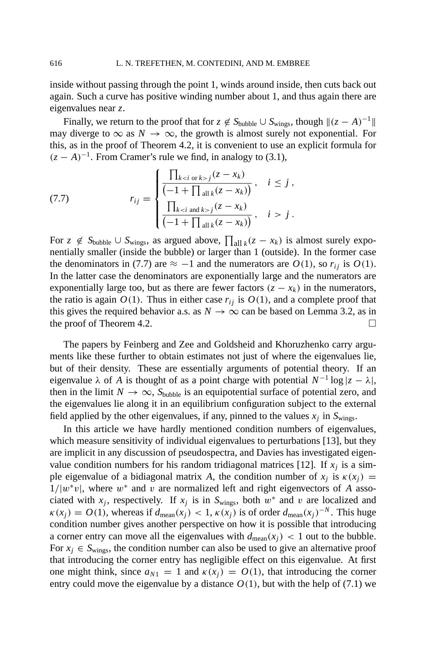inside without passing through the point 1, winds around inside, then cuts back out again. Such a curve has positive winding number about 1, and thus again there are eigenvalues near *z*.

Finally, we return to the proof that for  $z \notin S_{\text{bubble}} \cup S_{\text{wings}}$ , though  $\|(z - A)^{-1}\|$ may diverge to  $\infty$  as  $N \to \infty$ , the growth is almost surely not exponential. For this, as in the proof of Theorem 4.2, it is convenient to use an explicit formula for  $(z - A)^{-1}$ . From Cramer's rule we find, in analogy to (3.1),

(7.7) 
$$
r_{ij} = \begin{cases} \frac{\prod_{k < i \text{ or } k > j} (z - x_k)}{\left(-1 + \prod_{\text{all } k} (z - x_k)\right)}, & i \leq j, \\ \frac{\prod_{k < i \text{ and } k > j} (z - x_k)}{\left(-1 + \prod_{\text{all } k} (z - x_k)\right)}, & i > j. \end{cases}
$$

For  $z \notin S_{\text{bubble}} \cup S_{\text{wings}}$ , as argued above,  $\prod_{\text{all }k} (z - x_k)$  is almost surely exponentially smaller (inside the bubble) or larger than 1 (outside). In the former case the denominators in (7.7) are  $\approx -1$  and the numerators are  $O(1)$ , so  $r_{ii}$  is  $O(1)$ . In the latter case the denominators are exponentially large and the numerators are exponentially large too, but as there are fewer factors  $(z - x_k)$  in the numerators, the ratio is again  $O(1)$ . Thus in either case  $r_{ij}$  is  $O(1)$ , and a complete proof that this gives the required behavior a.s. as  $N \to \infty$  can be based on Lemma 3.2, as in the proof of Theorem 4.2.

The papers by Feinberg and Zee and Goldsheid and Khoruzhenko carry arguments like these further to obtain estimates not just of where the eigenvalues lie, but of their density. These are essentially arguments of potential theory. If an eigenvalue  $\lambda$  of *A* is thought of as a point charge with potential  $N^{-1} \log |z - \lambda|$ , then in the limit  $N \to \infty$ ,  $S_{\text{bubble}}$  is an equipotential surface of potential zero, and the eigenvalues lie along it in an equilibrium configuration subject to the external field applied by the other eigenvalues, if any, pinned to the values  $x_j$  in  $S_{wings}$ .

In this article we have hardly mentioned condition numbers of eigenvalues, which measure sensitivity of individual eigenvalues to perturbations [13], but they are implicit in any discussion of pseudospectra, and Davies has investigated eigenvalue condition numbers for his random tridiagonal matrices [12]. If  $x_i$  is a simple eigenvalue of a bidiagonal matrix *A*, the condition number of  $x_i$  is  $\kappa(x_i)$  =  $1/|w^*v|$ , where  $w^*$  and v are normalized left and right eigenvectors of *A* associated with  $x_j$ , respectively. If  $x_j$  is in  $S_{wings}$ , both  $w^*$  and v are localized and  $\kappa(x_i) = O(1)$ , whereas if  $d_{\text{mean}}(x_i) < 1$ ,  $\kappa(x_i)$  is of order  $d_{\text{mean}}(x_i)^{-N}$ . This huge condition number gives another perspective on how it is possible that introducing a corner entry can move all the eigenvalues with  $d_{\text{mean}}(x_i) < 1$  out to the bubble. For  $x_i \in S_{wines}$ , the condition number can also be used to give an alternative proof that introducing the corner entry has negligible effect on this eigenvalue. At first one might think, since  $a_{N1} = 1$  and  $\kappa(x_i) = O(1)$ , that introducing the corner entry could move the eigenvalue by a distance  $O(1)$ , but with the help of (7.1) we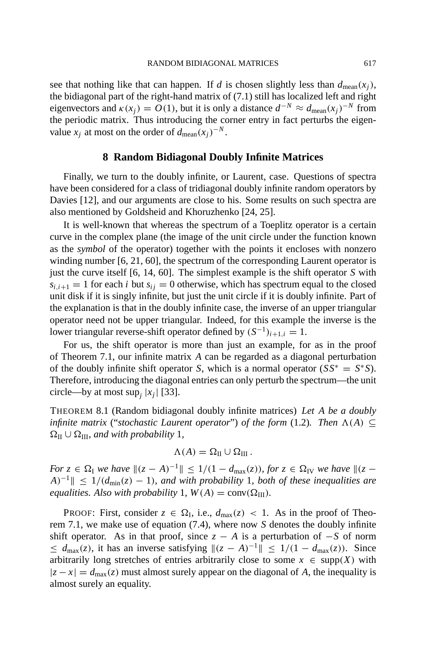see that nothing like that can happen. If *d* is chosen slightly less than  $d_{\text{mean}}(x_i)$ , the bidiagonal part of the right-hand matrix of (7.1) still has localized left and right eigenvectors and  $\kappa(x_i) = O(1)$ , but it is only a distance  $d^{-N} \approx d_{\text{mean}}(x_i)^{-N}$  from the periodic matrix. Thus introducing the corner entry in fact perturbs the eigenvalue  $x_i$  at most on the order of  $d_{\text{mean}}(x_i)^{-N}$ .

#### **8 Random Bidiagonal Doubly Infinite Matrices**

Finally, we turn to the doubly infinite, or Laurent, case. Questions of spectra have been considered for a class of tridiagonal doubly infinite random operators by Davies [12], and our arguments are close to his. Some results on such spectra are also mentioned by Goldsheid and Khoruzhenko [24, 25].

It is well-known that whereas the spectrum of a Toeplitz operator is a certain curve in the complex plane (the image of the unit circle under the function known as the *symbol* of the operator) together with the points it encloses with nonzero winding number [6, 21, 60], the spectrum of the corresponding Laurent operator is just the curve itself [6, 14, 60]. The simplest example is the shift operator *S* with  $s_{i,i+1} = 1$  for each *i* but  $s_{i,i} = 0$  otherwise, which has spectrum equal to the closed unit disk if it is singly infinite, but just the unit circle if it is doubly infinite. Part of the explanation is that in the doubly infinite case, the inverse of an upper triangular operator need not be upper triangular. Indeed, for this example the inverse is the lower triangular reverse-shift operator defined by  $(S^{-1})_{i+1,i} = 1$ .

For us, the shift operator is more than just an example, for as in the proof of Theorem 7.1, our infinite matrix *A* can be regarded as a diagonal perturbation of the doubly infinite shift operator *S*, which is a normal operator  $(SS^* = S^*S)$ . Therefore, introducing the diagonal entries can only perturb the spectrum—the unit circle—by at most sup<sub>i</sub>  $|x_i|$  [33].

THEOREM 8.1 (Random bidiagonal doubly infinite matrices) *Let A be a doubly infinite matrix* ("*stochastic Laurent operator*") *of the form* (1.2)*. Then*  $\Lambda(A) \subseteq$  $\Omega_{\text{II}} \cup \Omega_{\text{III}}$ *, and with probability* 1*,* 

$$
\Lambda(A) = \Omega_{\rm II} \cup \Omega_{\rm III}.
$$

*For*  $z \in \Omega$ <sub>I</sub> we have  $||(z - A)^{-1}|| \le 1/(1 - d_{\max}(z))$ , for  $z \in \Omega$ <sub>IV</sub> we have  $||(z - A)^{-1}|| \le 1/(1 - d_{\max}(z))$ , for  $z \in \Omega$  $A^{-1}$ || ≤ 1/( $d_{min}(z)$  – 1)*, and with probability* 1*, both of these inequalities are equalities. Also with probability* 1*,*  $W(A) = \text{conv}(\Omega_{\text{III}})$ *.* 

PROOF: First, consider  $z \in \Omega$ <sub>I</sub>, i.e.,  $d_{\text{max}}(z) < 1$ . As in the proof of Theorem 7.1, we make use of equation (7.4), where now *S* denotes the doubly infinite shift operator. As in that proof, since  $z - A$  is a perturbation of  $-S$  of norm  $\leq d_{\text{max}}(z)$ , it has an inverse satisfying  $||(z - A)^{-1}|| \leq 1/(1 - d_{\text{max}}(z))$ . Since arbitrarily long stretches of entries arbitrarily close to some  $x \in \text{supp}(X)$  with  $|z - x| = d_{\text{max}}(z)$  must almost surely appear on the diagonal of *A*, the inequality is almost surely an equality.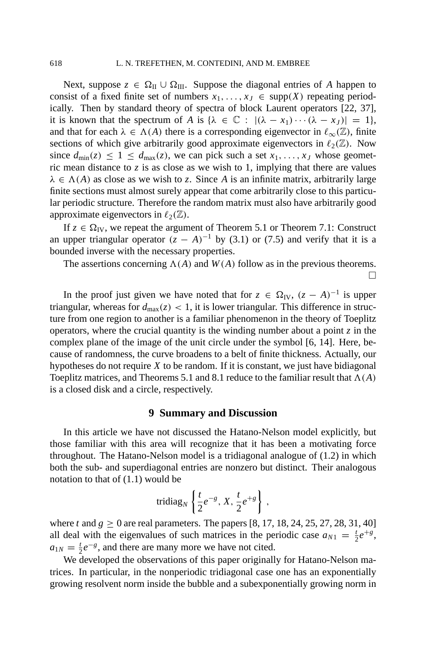Next, suppose  $z \in \Omega$ <sub>II</sub> ∪  $\Omega$ <sub>III</sub>. Suppose the diagonal entries of *A* happen to consist of a fixed finite set of numbers  $x_1, \ldots, x_J \in \text{supp}(X)$  repeating periodically. Then by standard theory of spectra of block Laurent operators [22, 37], it is known that the spectrum of *A* is  $\{\lambda \in \mathbb{C} : |(\lambda - x_1) \cdots (\lambda - x_J)| = 1\},\$ and that for each  $\lambda \in \Lambda(A)$  there is a corresponding eigenvector in  $\ell_{\infty}(\mathbb{Z})$ , finite sections of which give arbitrarily good approximate eigenvectors in  $\ell_2(\mathbb{Z})$ . Now since  $d_{\text{min}}(z) \leq 1 \leq d_{\text{max}}(z)$ , we can pick such a set  $x_1, \ldots, x_J$  whose geometric mean distance to  $z$  is as close as we wish to 1, implying that there are values  $\lambda \in \Lambda(A)$  as close as we wish to *z*. Since *A* is an infinite matrix, arbitrarily large finite sections must almost surely appear that come arbitrarily close to this particular periodic structure. Therefore the random matrix must also have arbitrarily good approximate eigenvectors in  $\ell_2(\mathbb{Z})$ .

If  $z \in \Omega_{IV}$ , we repeat the argument of Theorem 5.1 or Theorem 7.1: Construct an upper triangular operator  $(z - A)^{-1}$  by (3.1) or (7.5) and verify that it is a bounded inverse with the necessary properties.

The assertions concerning  $\Lambda(A)$  and  $W(A)$  follow as in the previous theorems.

 $\Box$ 

In the proof just given we have noted that for  $z \in \Omega_{IV}$ ,  $(z - A)^{-1}$  is upper triangular, whereas for  $d_{\text{max}}(z) < 1$ , it is lower triangular. This difference in structure from one region to another is a familiar phenomenon in the theory of Toeplitz operators, where the crucial quantity is the winding number about a point  $\zeta$  in the complex plane of the image of the unit circle under the symbol [6, 14]. Here, because of randomness, the curve broadens to a belt of finite thickness. Actually, our hypotheses do not require *X* to be random. If it is constant, we just have bidiagonal Toeplitz matrices, and Theorems 5.1 and 8.1 reduce to the familiar result that  $\Lambda(A)$ is a closed disk and a circle, respectively.

# **9 Summary and Discussion**

In this article we have not discussed the Hatano-Nelson model explicitly, but those familiar with this area will recognize that it has been a motivating force throughout. The Hatano-Nelson model is a tridiagonal analogue of (1.2) in which both the sub- and superdiagonal entries are nonzero but distinct. Their analogous notation to that of (1.1) would be

tridiag<sub>N</sub> 
$$
\left\{ \frac{t}{2}e^{-g}, X, \frac{t}{2}e^{+g} \right\}
$$
,

where *t* and  $g \ge 0$  are real parameters. The papers [8, 17, 18, 24, 25, 27, 28, 31, 40] all deal with the eigenvalues of such matrices in the periodic case  $a_{N1} = \frac{t}{2}e^{+g}$ ,  $a_{1N} = \frac{1}{2}e^{-g}$ , and there are many more we have not cited.

We developed the observations of this paper originally for Hatano-Nelson matrices. In particular, in the nonperiodic tridiagonal case one has an exponentially growing resolvent norm inside the bubble and a subexponentially growing norm in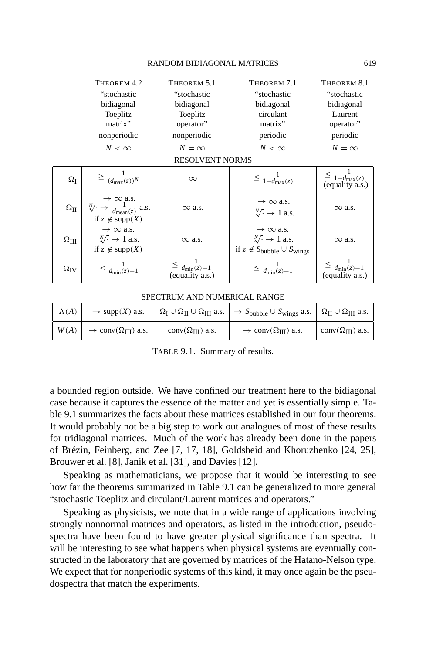#### RANDOM BIDIAGONAL MATRICES 619

|                        | THEOREM 4.2                                                                                                                  | THEOREM 5.1                                       | THEOREM 7.1                                                                                                                | THEOREM 8.1                                               |  |  |
|------------------------|------------------------------------------------------------------------------------------------------------------------------|---------------------------------------------------|----------------------------------------------------------------------------------------------------------------------------|-----------------------------------------------------------|--|--|
|                        | "stochastic                                                                                                                  | "stochastic                                       | "stochastic                                                                                                                | "stochastic                                               |  |  |
|                        | bidiagonal                                                                                                                   | bidiagonal                                        | bidiagonal                                                                                                                 | bidiagonal                                                |  |  |
|                        | Toeplitz                                                                                                                     | Toeplitz                                          | circulant                                                                                                                  | Laurent                                                   |  |  |
|                        | matrix"                                                                                                                      | operator"                                         | matrix"                                                                                                                    | operator"                                                 |  |  |
|                        | nonperiodic                                                                                                                  | nonperiodic                                       | periodic                                                                                                                   | periodic                                                  |  |  |
|                        | $N < \infty$                                                                                                                 | $N = \infty$                                      | $N<\infty$                                                                                                                 | $N = \infty$                                              |  |  |
| <b>RESOLVENT NORMS</b> |                                                                                                                              |                                                   |                                                                                                                            |                                                           |  |  |
| $\Omega_{\rm I}$       | $\geq \frac{1}{(d_{\max}(z))^N}$                                                                                             | $\infty$                                          | $\leq \frac{1}{1-d_{\max}(z)}$                                                                                             | $\leq \frac{1}{1-d_{\max}(z)}$<br>$\left($ equality a.s.) |  |  |
| $\Omega_{\rm II}$      | $\rightarrow \infty$ a.s.<br>$\sqrt[N]{\cdot} \rightarrow \frac{1}{d_{\text{mean}}(z)}$ a.s.<br>if $z \notin \text{supp}(X)$ | $\infty$ a.s.                                     | $\rightarrow \infty$ a.s.<br>$\sqrt[N]{\cdot} \rightarrow 1$ a.s.                                                          | $\infty$ a.s.                                             |  |  |
| $\Omega_{\rm III}$     | $\rightarrow \infty$ a.s.<br>$\sqrt[N]{\cdot} \rightarrow 1$ a.s.<br>if $z \notin supp(X)$                                   | $\infty$ a.s.                                     | $\rightarrow \infty$ a.s.<br>$\sqrt[N]{\cdot} \rightarrow 1$ a.s.<br>if $z \notin S_{\text{bubble}} \cup S_{\text{wings}}$ | $\infty$ a.s.                                             |  |  |
|                        |                                                                                                                              |                                                   |                                                                                                                            |                                                           |  |  |
| $\Omega_{\mathrm{IV}}$ | $\frac{1}{d_{\min}(z)-1}$                                                                                                    | $\leq \frac{1}{d_{\min}(z)-1}$<br>(equality a.s.) | $\leq \frac{1}{d_{\min}(z)-1}$                                                                                             | $\leq \frac{1}{d_{\min}(z)-1}$<br>(equality a.s.)         |  |  |

#### SPECTRUM AND NUMERICAL RANGE

| $\Lambda(A)$ | $\rightarrow$ supp(X) a.s.                         |                            | $\Omega_I \cup \Omega_{II} \cup \Omega_{III}$ a.s. $\rightarrow S_{\text{bubble}} \cup S_{\text{wings}}$ a.s. $\Omega_{II} \cup \Omega_{III}$ a.s. |                           |
|--------------|----------------------------------------------------|----------------------------|----------------------------------------------------------------------------------------------------------------------------------------------------|---------------------------|
| W(A)         | $\rightarrow$ conv( $\Omega$ <sub>III</sub> ) a.s. | conv $(\Omega_{III})$ a.s. | $\rightarrow$ conv( $\Omega_{III}$ ) a.s.                                                                                                          | $conv(\Omega_{III})$ a.s. |

TABLE 9.1. Summary of results.

a bounded region outside. We have confined our treatment here to the bidiagonal case because it captures the essence of the matter and yet is essentially simple. Table 9.1 summarizes the facts about these matrices established in our four theorems. It would probably not be a big step to work out analogues of most of these results for tridiagonal matrices. Much of the work has already been done in the papers of Brézin, Feinberg, and Zee [7, 17, 18], Goldsheid and Khoruzhenko [24, 25], Brouwer et al. [8], Janik et al. [31], and Davies [12].

Speaking as mathematicians, we propose that it would be interesting to see how far the theorems summarized in Table 9.1 can be generalized to more general "stochastic Toeplitz and circulant/Laurent matrices and operators."

Speaking as physicists, we note that in a wide range of applications involving strongly nonnormal matrices and operators, as listed in the introduction, pseudospectra have been found to have greater physical significance than spectra. It will be interesting to see what happens when physical systems are eventually constructed in the laboratory that are governed by matrices of the Hatano-Nelson type. We expect that for nonperiodic systems of this kind, it may once again be the pseudospectra that match the experiments.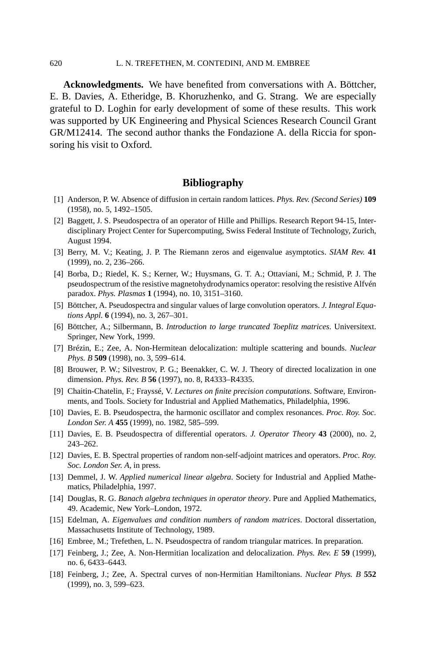#### 620 L. N. TREFETHEN, M. CONTEDINI, AND M. EMBREE

**Acknowledgments.** We have benefited from conversations with A. Böttcher, E. B. Davies, A. Etheridge, B. Khoruzhenko, and G. Strang. We are especially grateful to D. Loghin for early development of some of these results. This work was supported by UK Engineering and Physical Sciences Research Council Grant GR/M12414. The second author thanks the Fondazione A. della Riccia for sponsoring his visit to Oxford.

# **Bibliography**

- [1] Anderson, P. W. Absence of diffusion in certain random lattices. *Phys. Rev. (Second Series)* **109** (1958), no. 5, 1492–1505.
- [2] Baggett, J. S. Pseudospectra of an operator of Hille and Phillips. Research Report 94-15, Interdisciplinary Project Center for Supercomputing, Swiss Federal Institute of Technology, Zurich, August 1994.
- [3] Berry, M. V.; Keating, J. P. The Riemann zeros and eigenvalue asymptotics. *SIAM Rev.* **41** (1999), no. 2, 236–266.
- [4] Borba, D.; Riedel, K. S.; Kerner, W.; Huysmans, G. T. A.; Ottaviani, M.; Schmid, P. J. The pseudospectrum of the resistive magnetohydrodynamics operator: resolving the resistive Alfvén paradox. *Phys. Plasmas* **1** (1994), no. 10, 3151–3160.
- [5] Böttcher, A. Pseudospectra and singular values of large convolution operators. *J. Integral Equations Appl.* **6** (1994), no. 3, 267–301.
- [6] Böttcher, A.; Silbermann, B. *Introduction to large truncated Toeplitz matrices*. Universitext. Springer, New York, 1999.
- [7] Brézin, E.; Zee, A. Non-Hermitean delocalization: multiple scattering and bounds. *Nuclear Phys. B* **509** (1998), no. 3, 599–614.
- [8] Brouwer, P. W.; Silvestrov, P. G.; Beenakker, C. W. J. Theory of directed localization in one dimension. *Phys. Rev. B* **56** (1997), no. 8, R4333–R4335.
- [9] Chaitin-Chatelin, F.; Frayssé, V. *Lectures on finite precision computations*. Software, Environments, and Tools. Society for Industrial and Applied Mathematics, Philadelphia, 1996.
- [10] Davies, E. B. Pseudospectra, the harmonic oscillator and complex resonances. *Proc. Roy. Soc. London Ser. A* **455** (1999), no. 1982, 585–599.
- [11] Davies, E. B. Pseudospectra of differential operators. *J. Operator Theory* **43** (2000), no. 2, 243–262.
- [12] Davies, E. B. Spectral properties of random non-self-adjoint matrices and operators. *Proc. Roy. Soc. London Ser. A*, in press.
- [13] Demmel, J. W. *Applied numerical linear algebra*. Society for Industrial and Applied Mathematics, Philadelphia, 1997.
- [14] Douglas, R. G. *Banach algebra techniques in operator theory*. Pure and Applied Mathematics, 49. Academic, New York–London, 1972.
- [15] Edelman, A. *Eigenvalues and condition numbers of random matrices*. Doctoral dissertation, Massachusetts Institute of Technology, 1989.
- [16] Embree, M.; Trefethen, L. N. Pseudospectra of random triangular matrices. In preparation.
- [17] Feinberg, J.; Zee, A. Non-Hermitian localization and delocalization. *Phys. Rev. E* **59** (1999), no. 6, 6433–6443.
- [18] Feinberg, J.; Zee, A. Spectral curves of non-Hermitian Hamiltonians. *Nuclear Phys. B* **552** (1999), no. 3, 599–623.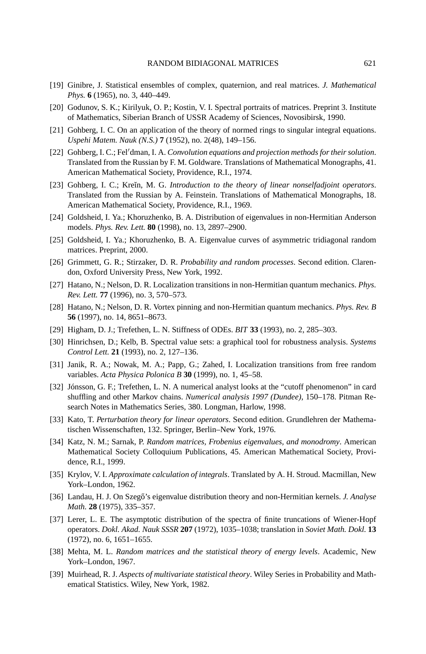- [19] Ginibre, J. Statistical ensembles of complex, quaternion, and real matrices. *J. Mathematical Phys.* **6** (1965), no. 3, 440–449.
- [20] Godunov, S. K.; Kirilyuk, O. P.; Kostin, V. I. Spectral portraits of matrices. Preprint 3. Institute of Mathematics, Siberian Branch of USSR Academy of Sciences, Novosibirsk, 1990.
- [21] Gohberg, I. C. On an application of the theory of normed rings to singular integral equations. *Uspehi Matem. Nauk (N.S.)* **7** (1952), no. 2(48), 149–156.
- [22] Gohberg, I. C.; Fel'dman, I. A. *Convolution equations and projection methods for their solution*. Translated from the Russian by F. M. Goldware. Translations of Mathematical Monographs, 41. American Mathematical Society, Providence, R.I., 1974.
- [23] Gohberg, I. C.; Kreĭn, M. G. *Introduction to the theory of linear nonselfadjoint operators*. Translated from the Russian by A. Feinstein. Translations of Mathematical Monographs, 18. American Mathematical Society, Providence, R.I., 1969.
- [24] Goldsheid, I. Ya.; Khoruzhenko, B. A. Distribution of eigenvalues in non-Hermitian Anderson models. *Phys. Rev. Lett.* **80** (1998), no. 13, 2897–2900.
- [25] Goldsheid, I. Ya.; Khoruzhenko, B. A. Eigenvalue curves of asymmetric tridiagonal random matrices. Preprint, 2000.
- [26] Grimmett, G. R.; Stirzaker, D. R. *Probability and random processes*. Second edition. Clarendon, Oxford University Press, New York, 1992.
- [27] Hatano, N.; Nelson, D. R. Localization transitions in non-Hermitian quantum mechanics. *Phys. Rev. Lett.* **77** (1996), no. 3, 570–573.
- [28] Hatano, N.; Nelson, D. R. Vortex pinning and non-Hermitian quantum mechanics. *Phys. Rev. B* **56** (1997), no. 14, 8651–8673.
- [29] Higham, D. J.; Trefethen, L. N. Stiffness of ODEs. *BIT* **33** (1993), no. 2, 285–303.
- [30] Hinrichsen, D.; Kelb, B. Spectral value sets: a graphical tool for robustness analysis. *Systems Control Lett.* **21** (1993), no. 2, 127–136.
- [31] Janik, R. A.; Nowak, M. A.; Papp, G.; Zahed, I. Localization transitions from free random variables. *Acta Physica Polonica B* **30** (1999), no. 1, 45–58.
- [32] Jónsson, G. F.; Trefethen, L. N. A numerical analyst looks at the "cutoff phenomenon" in card shuffling and other Markov chains. *Numerical analysis 1997 (Dundee)*, 150–178. Pitman Research Notes in Mathematics Series, 380. Longman, Harlow, 1998.
- [33] Kato, T. *Perturbation theory for linear operators*. Second edition. Grundlehren der Mathematischen Wissenschaften, 132. Springer, Berlin–New York, 1976.
- [34] Katz, N. M.; Sarnak, P. *Random matrices, Frobenius eigenvalues, and monodromy*. American Mathematical Society Colloquium Publications, 45. American Mathematical Society, Providence, R.I., 1999.
- [35] Krylov, V. I. *Approximate calculation of integrals*. Translated by A. H. Stroud. Macmillan, New York–London, 1962.
- [36] Landau, H. J. On Szegő's eigenvalue distribution theory and non-Hermitian kernels. *J. Analyse Math.* **28** (1975), 335–357.
- [37] Lerer, L. E. The asymptotic distribution of the spectra of finite truncations of Wiener-Hopf operators. *Dokl. Akad. Nauk SSSR* **207** (1972), 1035–1038; translation in *Soviet Math. Dokl.* **13** (1972), no. 6, 1651–1655.
- [38] Mehta, M. L. *Random matrices and the statistical theory of energy levels*. Academic, New York–London, 1967.
- [39] Muirhead, R. J. *Aspects of multivariate statistical theory*. Wiley Series in Probability and Mathematical Statistics. Wiley, New York, 1982.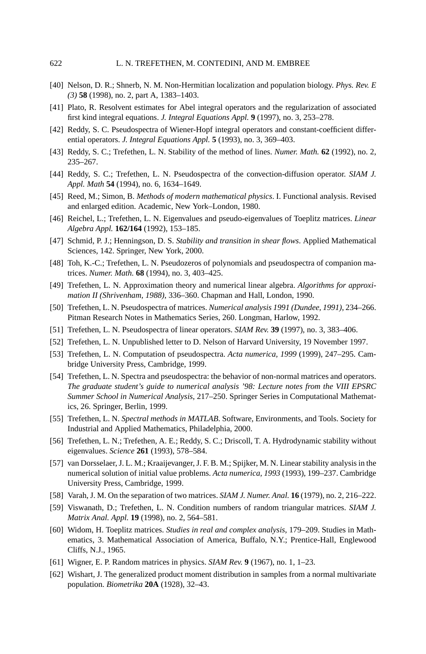- [40] Nelson, D. R.; Shnerb, N. M. Non-Hermitian localization and population biology. *Phys. Rev. E (3)* **58** (1998), no. 2, part A, 1383–1403.
- [41] Plato, R. Resolvent estimates for Abel integral operators and the regularization of associated first kind integral equations. *J. Integral Equations Appl.* **9** (1997), no. 3, 253–278.
- [42] Reddy, S. C. Pseudospectra of Wiener-Hopf integral operators and constant-coefficient differential operators. *J. Integral Equations Appl.* **5** (1993), no. 3, 369–403.
- [43] Reddy, S. C.; Trefethen, L. N. Stability of the method of lines. *Numer. Math.* **62** (1992), no. 2, 235–267.
- [44] Reddy, S. C.; Trefethen, L. N. Pseudospectra of the convection-diffusion operator. *SIAM J. Appl. Math* **54** (1994), no. 6, 1634–1649.
- [45] Reed, M.; Simon, B. *Methods of modern mathematical physics*. I. Functional analysis. Revised and enlarged edition. Academic, New York–London, 1980.
- [46] Reichel, L.; Trefethen, L. N. Eigenvalues and pseudo-eigenvalues of Toeplitz matrices. *Linear Algebra Appl.* **162/164** (1992), 153–185.
- [47] Schmid, P. J.; Henningson, D. S. *Stability and transition in shear flows*. Applied Mathematical Sciences, 142. Springer, New York, 2000.
- [48] Toh, K.-C.; Trefethen, L. N. Pseudozeros of polynomials and pseudospectra of companion matrices. *Numer. Math.* **68** (1994), no. 3, 403–425.
- [49] Trefethen, L. N. Approximation theory and numerical linear algebra. *Algorithms for approximation II (Shrivenham, 1988)*, 336–360. Chapman and Hall, London, 1990.
- [50] Trefethen, L. N. Pseudospectra of matrices. *Numerical analysis 1991 (Dundee, 1991)*, 234–266. Pitman Research Notes in Mathematics Series, 260. Longman, Harlow, 1992.
- [51] Trefethen, L. N. Pseudospectra of linear operators. *SIAM Rev.* **39** (1997), no. 3, 383–406.
- [52] Trefethen, L. N. Unpublished letter to D. Nelson of Harvard University, 19 November 1997.
- [53] Trefethen, L. N. Computation of pseudospectra. *Acta numerica, 1999* (1999), 247–295. Cambridge University Press, Cambridge, 1999.
- [54] Trefethen, L. N. Spectra and pseudospectra: the behavior of non-normal matrices and operators. *The graduate student's guide to numerical analysis '98: Lecture notes from the VIII EPSRC Summer School in Numerical Analysis*, 217–250. Springer Series in Computational Mathematics, 26. Springer, Berlin, 1999.
- [55] Trefethen, L. N. *Spectral methods in MATLAB*. Software, Environments, and Tools. Society for Industrial and Applied Mathematics, Philadelphia, 2000.
- [56] Trefethen, L. N.; Trefethen, A. E.; Reddy, S. C.; Driscoll, T. A. Hydrodynamic stability without eigenvalues. *Science* **261** (1993), 578–584.
- [57] van Dorsselaer, J. L. M.; Kraaijevanger, J. F. B. M.; Spijker, M. N. Linear stability analysis in the numerical solution of initial value problems. *Acta numerica, 1993* (1993), 199–237. Cambridge University Press, Cambridge, 1999.
- [58] Varah, J. M. On the separation of two matrices. *SIAM J. Numer. Anal.* **16** (1979), no. 2, 216–222.
- [59] Viswanath, D.; Trefethen, L. N. Condition numbers of random triangular matrices. *SIAM J. Matrix Anal. Appl.* **19** (1998), no. 2, 564–581.
- [60] Widom, H. Toeplitz matrices. *Studies in real and complex analysis*, 179–209. Studies in Mathematics, 3. Mathematical Association of America, Buffalo, N.Y.; Prentice-Hall, Englewood Cliffs, N.J., 1965.
- [61] Wigner, E. P. Random matrices in physics. *SIAM Rev.* **9** (1967), no. 1, 1–23.
- [62] Wishart, J. The generalized product moment distribution in samples from a normal multivariate population. *Biometrika* **20A** (1928), 32–43.